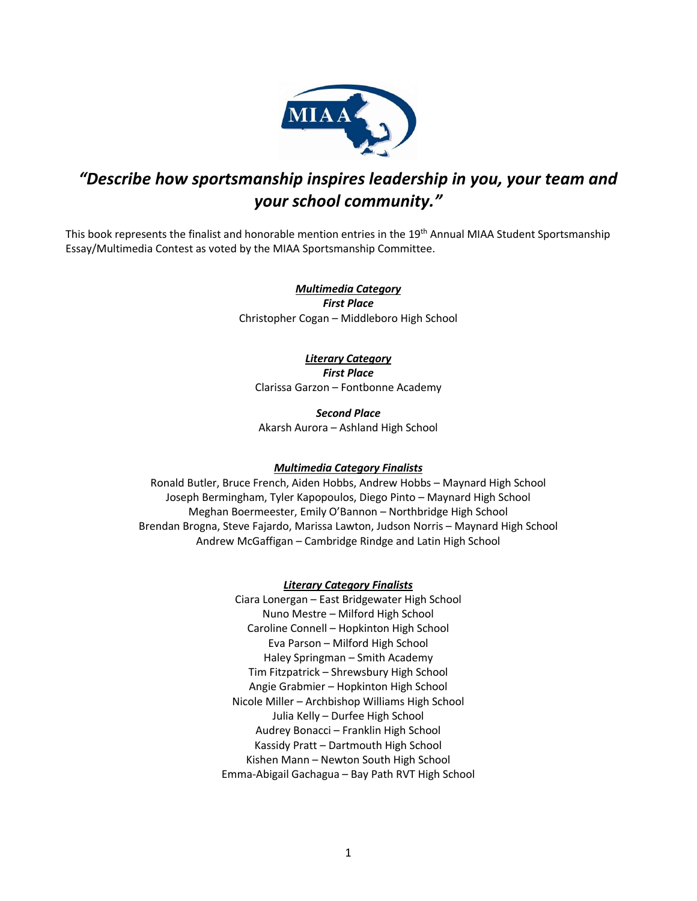

# *"Describe how sportsmanship inspires leadership in you, your team and your school community."*

This book represents the finalist and honorable mention entries in the 19<sup>th</sup> Annual MIAA Student Sportsmanship Essay/Multimedia Contest as voted by the MIAA Sportsmanship Committee.

> *Multimedia Category First Place* Christopher Cogan – Middleboro High School

> > *Literary Category First Place*

Clarissa Garzon – Fontbonne Academy

*Second Place* Akarsh Aurora – Ashland High School

## *Multimedia Category Finalists*

Ronald Butler, Bruce French, Aiden Hobbs, Andrew Hobbs – Maynard High School Joseph Bermingham, Tyler Kapopoulos, Diego Pinto – Maynard High School Meghan Boermeester, Emily O'Bannon – Northbridge High School Brendan Brogna, Steve Fajardo, Marissa Lawton, Judson Norris – Maynard High School Andrew McGaffigan – Cambridge Rindge and Latin High School

## *Literary Category Finalists*

Ciara Lonergan – East Bridgewater High School Nuno Mestre – Milford High School Caroline Connell – Hopkinton High School Eva Parson – Milford High School Haley Springman – Smith Academy Tim Fitzpatrick – Shrewsbury High School Angie Grabmier – Hopkinton High School Nicole Miller – Archbishop Williams High School Julia Kelly – Durfee High School Audrey Bonacci – Franklin High School Kassidy Pratt – Dartmouth High School Kishen Mann – Newton South High School Emma-Abigail Gachagua – Bay Path RVT High School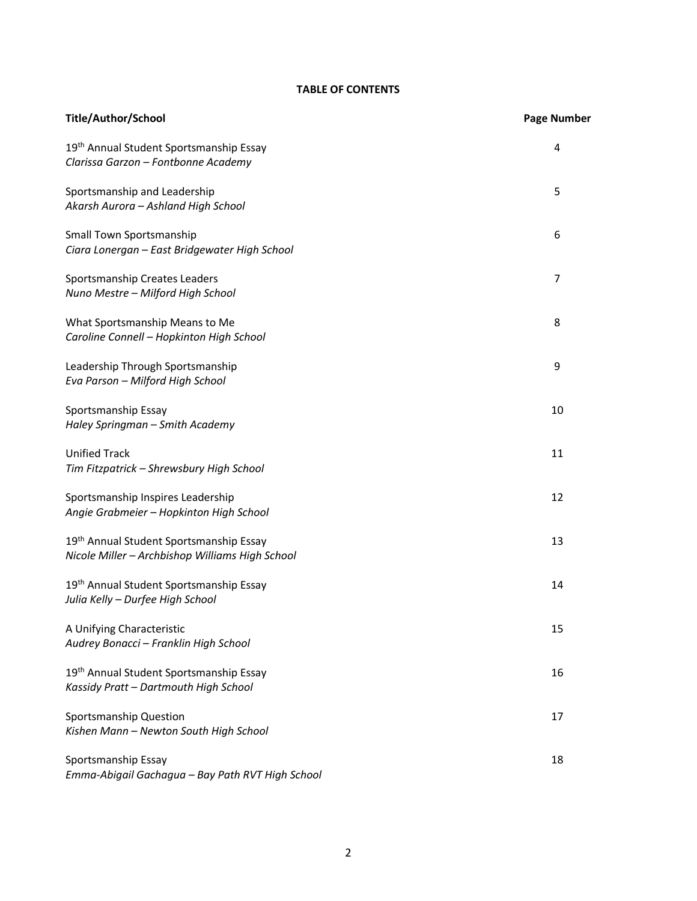## **TABLE OF CONTENTS**

| <b>Title/Author/School</b>                                                                   | <b>Page Number</b> |
|----------------------------------------------------------------------------------------------|--------------------|
| 19th Annual Student Sportsmanship Essay<br>Clarissa Garzon - Fontbonne Academy               | 4                  |
| Sportsmanship and Leadership<br>Akarsh Aurora - Ashland High School                          | 5                  |
| Small Town Sportsmanship<br>Ciara Lonergan - East Bridgewater High School                    | 6                  |
| Sportsmanship Creates Leaders<br>Nuno Mestre - Milford High School                           | 7                  |
| What Sportsmanship Means to Me<br>Caroline Connell - Hopkinton High School                   | 8                  |
| Leadership Through Sportsmanship<br>Eva Parson - Milford High School                         | 9                  |
| Sportsmanship Essay<br>Haley Springman - Smith Academy                                       | 10                 |
| <b>Unified Track</b><br>Tim Fitzpatrick - Shrewsbury High School                             | 11                 |
| Sportsmanship Inspires Leadership<br>Angie Grabmeier - Hopkinton High School                 | 12                 |
| 19th Annual Student Sportsmanship Essay<br>Nicole Miller - Archbishop Williams High School   | 13                 |
| 19th Annual Student Sportsmanship Essay<br>Julia Kelly - Durfee High School                  | 14                 |
| A Unifying Characteristic<br>Audrey Bonacci - Franklin High School                           | 15                 |
| 19 <sup>th</sup> Annual Student Sportsmanship Essay<br>Kassidy Pratt - Dartmouth High School | 16                 |
| Sportsmanship Question<br>Kishen Mann - Newton South High School                             | 17                 |
| Sportsmanship Essay<br>Emma-Abigail Gachagua - Bay Path RVT High School                      | 18                 |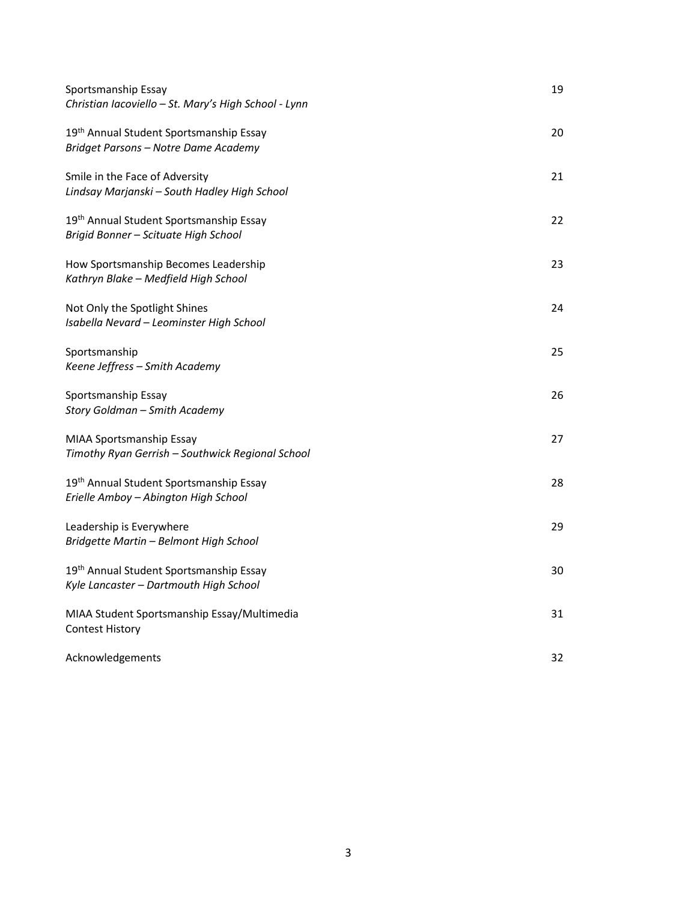| Sportsmanship Essay<br>Christian Iacoviello - St. Mary's High School - Lynn       | 19 |
|-----------------------------------------------------------------------------------|----|
| 19th Annual Student Sportsmanship Essay<br>Bridget Parsons - Notre Dame Academy   | 20 |
| Smile in the Face of Adversity<br>Lindsay Marjanski - South Hadley High School    | 21 |
| 19th Annual Student Sportsmanship Essay<br>Brigid Bonner - Scituate High School   | 22 |
| How Sportsmanship Becomes Leadership<br>Kathryn Blake - Medfield High School      | 23 |
| Not Only the Spotlight Shines<br>Isabella Nevard - Leominster High School         | 24 |
| Sportsmanship<br>Keene Jeffress - Smith Academy                                   | 25 |
| Sportsmanship Essay<br>Story Goldman - Smith Academy                              | 26 |
| MIAA Sportsmanship Essay<br>Timothy Ryan Gerrish - Southwick Regional School      | 27 |
| 19th Annual Student Sportsmanship Essay<br>Erielle Amboy - Abington High School   | 28 |
| Leadership is Everywhere<br>Bridgette Martin - Belmont High School                | 29 |
| 19th Annual Student Sportsmanship Essay<br>Kyle Lancaster - Dartmouth High School | 30 |
| MIAA Student Sportsmanship Essay/Multimedia<br><b>Contest History</b>             | 31 |
| Acknowledgements                                                                  | 32 |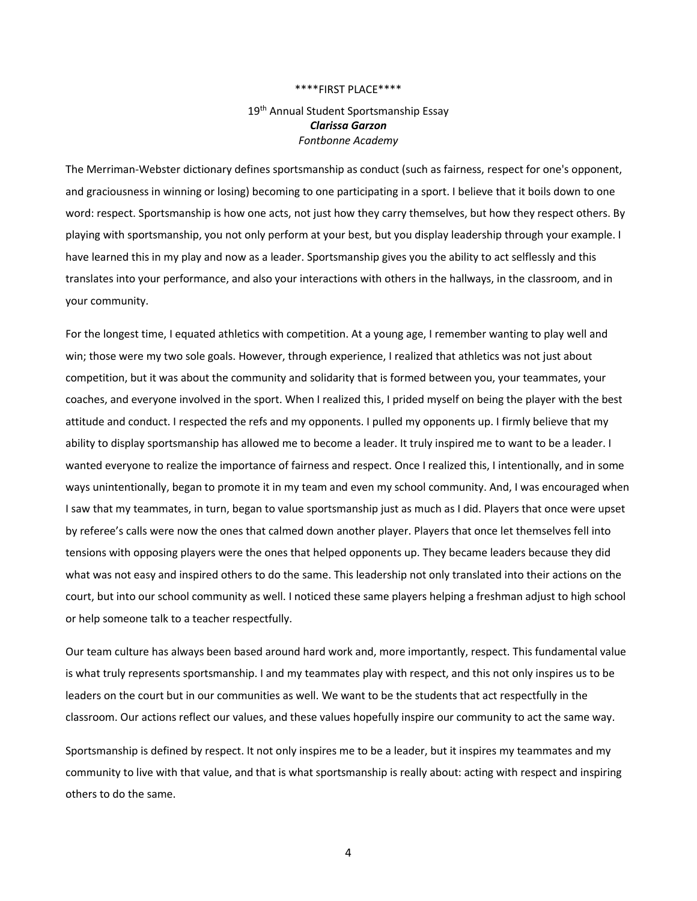#### \*\*\*\*FIRST PLACE\*\*\*\*

## 19<sup>th</sup> Annual Student Sportsmanship Essay *Clarissa Garzon Fontbonne Academy*

The Merriman-Webster dictionary defines sportsmanship as conduct (such as fairness, respect for one's opponent, and graciousness in winning or losing) becoming to one participating in a sport. I believe that it boils down to one word: respect. Sportsmanship is how one acts, not just how they carry themselves, but how they respect others. By playing with sportsmanship, you not only perform at your best, but you display leadership through your example. I have learned this in my play and now as a leader. Sportsmanship gives you the ability to act selflessly and this translates into your performance, and also your interactions with others in the hallways, in the classroom, and in your community.

For the longest time, I equated athletics with competition. At a young age, I remember wanting to play well and win; those were my two sole goals. However, through experience, I realized that athletics was not just about competition, but it was about the community and solidarity that is formed between you, your teammates, your coaches, and everyone involved in the sport. When I realized this, I prided myself on being the player with the best attitude and conduct. I respected the refs and my opponents. I pulled my opponents up. I firmly believe that my ability to display sportsmanship has allowed me to become a leader. It truly inspired me to want to be a leader. I wanted everyone to realize the importance of fairness and respect. Once I realized this, I intentionally, and in some ways unintentionally, began to promote it in my team and even my school community. And, I was encouraged when I saw that my teammates, in turn, began to value sportsmanship just as much as I did. Players that once were upset by referee's calls were now the ones that calmed down another player. Players that once let themselves fell into tensions with opposing players were the ones that helped opponents up. They became leaders because they did what was not easy and inspired others to do the same. This leadership not only translated into their actions on the court, but into our school community as well. I noticed these same players helping a freshman adjust to high school or help someone talk to a teacher respectfully.

Our team culture has always been based around hard work and, more importantly, respect. This fundamental value is what truly represents sportsmanship. I and my teammates play with respect, and this not only inspires us to be leaders on the court but in our communities as well. We want to be the students that act respectfully in the classroom. Our actions reflect our values, and these values hopefully inspire our community to act the same way.

Sportsmanship is defined by respect. It not only inspires me to be a leader, but it inspires my teammates and my community to live with that value, and that is what sportsmanship is really about: acting with respect and inspiring others to do the same.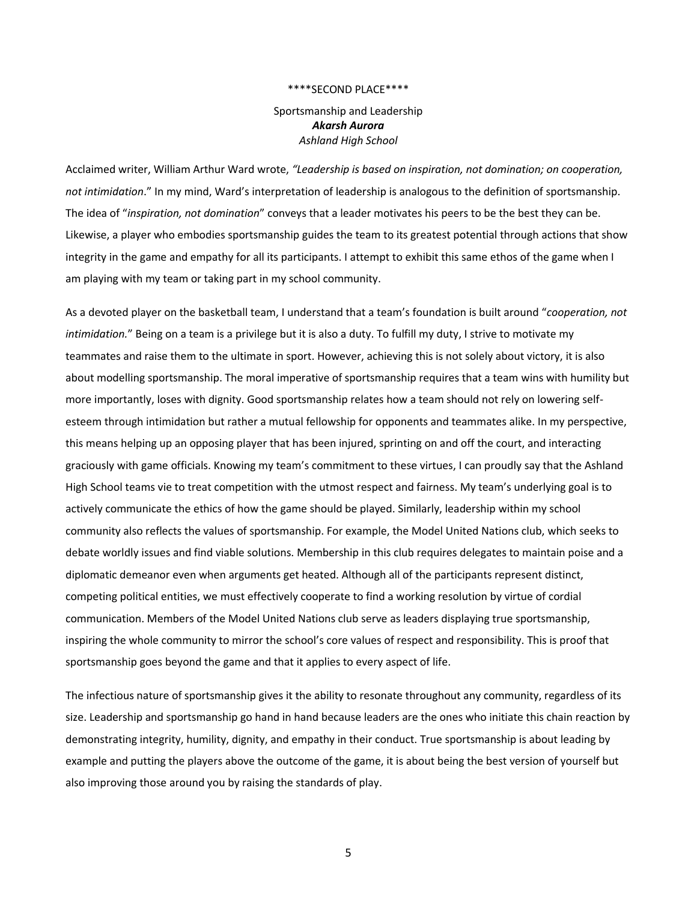### \*\*\*\*SECOND PLACE\*\*\*\*

Sportsmanship and Leadership *Akarsh Aurora Ashland High School*

Acclaimed writer, William Arthur Ward wrote, *"Leadership is based on inspiration, not domination; on cooperation, not intimidation*." In my mind, Ward's interpretation of leadership is analogous to the definition of sportsmanship. The idea of "*inspiration, not domination*" conveys that a leader motivates his peers to be the best they can be. Likewise, a player who embodies sportsmanship guides the team to its greatest potential through actions that show integrity in the game and empathy for all its participants. I attempt to exhibit this same ethos of the game when I am playing with my team or taking part in my school community.

As a devoted player on the basketball team, I understand that a team's foundation is built around "*cooperation, not intimidation.*" Being on a team is a privilege but it is also a duty. To fulfill my duty, I strive to motivate my teammates and raise them to the ultimate in sport. However, achieving this is not solely about victory, it is also about modelling sportsmanship. The moral imperative of sportsmanship requires that a team wins with humility but more importantly, loses with dignity. Good sportsmanship relates how a team should not rely on lowering selfesteem through intimidation but rather a mutual fellowship for opponents and teammates alike. In my perspective, this means helping up an opposing player that has been injured, sprinting on and off the court, and interacting graciously with game officials. Knowing my team's commitment to these virtues, I can proudly say that the Ashland High School teams vie to treat competition with the utmost respect and fairness. My team's underlying goal is to actively communicate the ethics of how the game should be played. Similarly, leadership within my school community also reflects the values of sportsmanship. For example, the Model United Nations club, which seeks to debate worldly issues and find viable solutions. Membership in this club requires delegates to maintain poise and a diplomatic demeanor even when arguments get heated. Although all of the participants represent distinct, competing political entities, we must effectively cooperate to find a working resolution by virtue of cordial communication. Members of the Model United Nations club serve as leaders displaying true sportsmanship, inspiring the whole community to mirror the school's core values of respect and responsibility. This is proof that sportsmanship goes beyond the game and that it applies to every aspect of life.

The infectious nature of sportsmanship gives it the ability to resonate throughout any community, regardless of its size. Leadership and sportsmanship go hand in hand because leaders are the ones who initiate this chain reaction by demonstrating integrity, humility, dignity, and empathy in their conduct. True sportsmanship is about leading by example and putting the players above the outcome of the game, it is about being the best version of yourself but also improving those around you by raising the standards of play.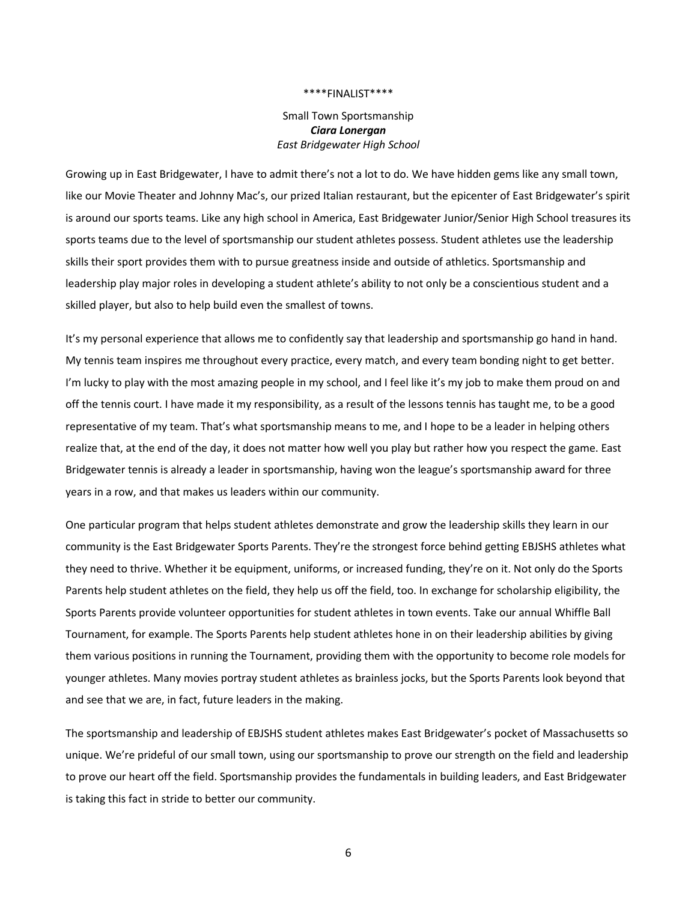Small Town Sportsmanship *Ciara Lonergan East Bridgewater High School*

Growing up in East Bridgewater, I have to admit there's not a lot to do. We have hidden gems like any small town, like our Movie Theater and Johnny Mac's, our prized Italian restaurant, but the epicenter of East Bridgewater's spirit is around our sports teams. Like any high school in America, East Bridgewater Junior/Senior High School treasures its sports teams due to the level of sportsmanship our student athletes possess. Student athletes use the leadership skills their sport provides them with to pursue greatness inside and outside of athletics. Sportsmanship and leadership play major roles in developing a student athlete's ability to not only be a conscientious student and a skilled player, but also to help build even the smallest of towns.

It's my personal experience that allows me to confidently say that leadership and sportsmanship go hand in hand. My tennis team inspires me throughout every practice, every match, and every team bonding night to get better. I'm lucky to play with the most amazing people in my school, and I feel like it's my job to make them proud on and off the tennis court. I have made it my responsibility, as a result of the lessons tennis has taught me, to be a good representative of my team. That's what sportsmanship means to me, and I hope to be a leader in helping others realize that, at the end of the day, it does not matter how well you play but rather how you respect the game. East Bridgewater tennis is already a leader in sportsmanship, having won the league's sportsmanship award for three years in a row, and that makes us leaders within our community.

One particular program that helps student athletes demonstrate and grow the leadership skills they learn in our community is the East Bridgewater Sports Parents. They're the strongest force behind getting EBJSHS athletes what they need to thrive. Whether it be equipment, uniforms, or increased funding, they're on it. Not only do the Sports Parents help student athletes on the field, they help us off the field, too. In exchange for scholarship eligibility, the Sports Parents provide volunteer opportunities for student athletes in town events. Take our annual Whiffle Ball Tournament, for example. The Sports Parents help student athletes hone in on their leadership abilities by giving them various positions in running the Tournament, providing them with the opportunity to become role models for younger athletes. Many movies portray student athletes as brainless jocks, but the Sports Parents look beyond that and see that we are, in fact, future leaders in the making.

The sportsmanship and leadership of EBJSHS student athletes makes East Bridgewater's pocket of Massachusetts so unique. We're prideful of our small town, using our sportsmanship to prove our strength on the field and leadership to prove our heart off the field. Sportsmanship provides the fundamentals in building leaders, and East Bridgewater is taking this fact in stride to better our community.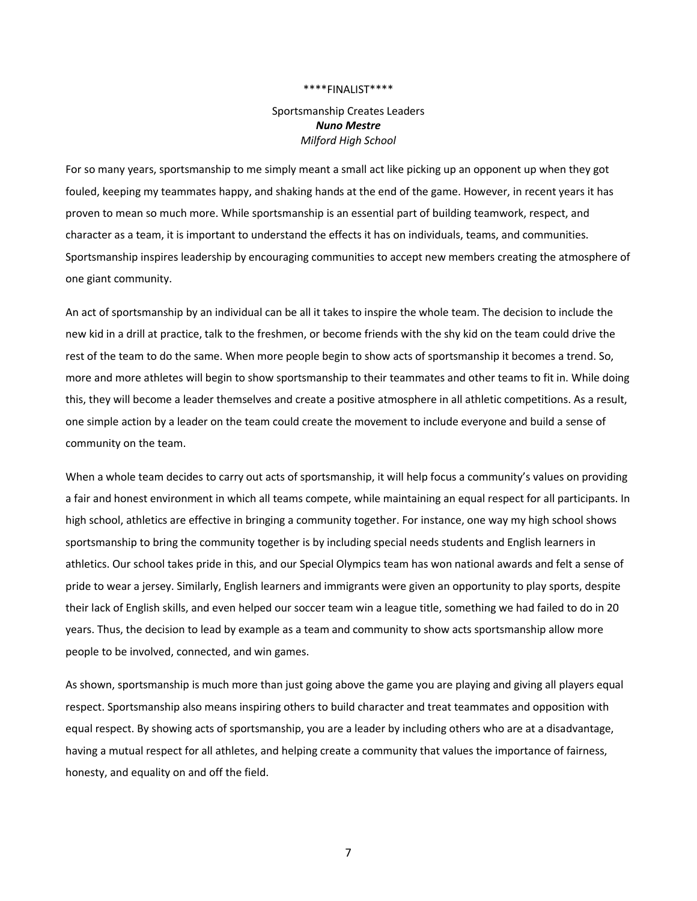## Sportsmanship Creates Leaders *Nuno Mestre Milford High School*

For so many years, sportsmanship to me simply meant a small act like picking up an opponent up when they got fouled, keeping my teammates happy, and shaking hands at the end of the game. However, in recent years it has proven to mean so much more. While sportsmanship is an essential part of building teamwork, respect, and character as a team, it is important to understand the effects it has on individuals, teams, and communities. Sportsmanship inspires leadership by encouraging communities to accept new members creating the atmosphere of one giant community.

An act of sportsmanship by an individual can be all it takes to inspire the whole team. The decision to include the new kid in a drill at practice, talk to the freshmen, or become friends with the shy kid on the team could drive the rest of the team to do the same. When more people begin to show acts of sportsmanship it becomes a trend. So, more and more athletes will begin to show sportsmanship to their teammates and other teams to fit in. While doing this, they will become a leader themselves and create a positive atmosphere in all athletic competitions. As a result, one simple action by a leader on the team could create the movement to include everyone and build a sense of community on the team.

When a whole team decides to carry out acts of sportsmanship, it will help focus a community's values on providing a fair and honest environment in which all teams compete, while maintaining an equal respect for all participants. In high school, athletics are effective in bringing a community together. For instance, one way my high school shows sportsmanship to bring the community together is by including special needs students and English learners in athletics. Our school takes pride in this, and our Special Olympics team has won national awards and felt a sense of pride to wear a jersey. Similarly, English learners and immigrants were given an opportunity to play sports, despite their lack of English skills, and even helped our soccer team win a league title, something we had failed to do in 20 years. Thus, the decision to lead by example as a team and community to show acts sportsmanship allow more people to be involved, connected, and win games.

As shown, sportsmanship is much more than just going above the game you are playing and giving all players equal respect. Sportsmanship also means inspiring others to build character and treat teammates and opposition with equal respect. By showing acts of sportsmanship, you are a leader by including others who are at a disadvantage, having a mutual respect for all athletes, and helping create a community that values the importance of fairness, honesty, and equality on and off the field.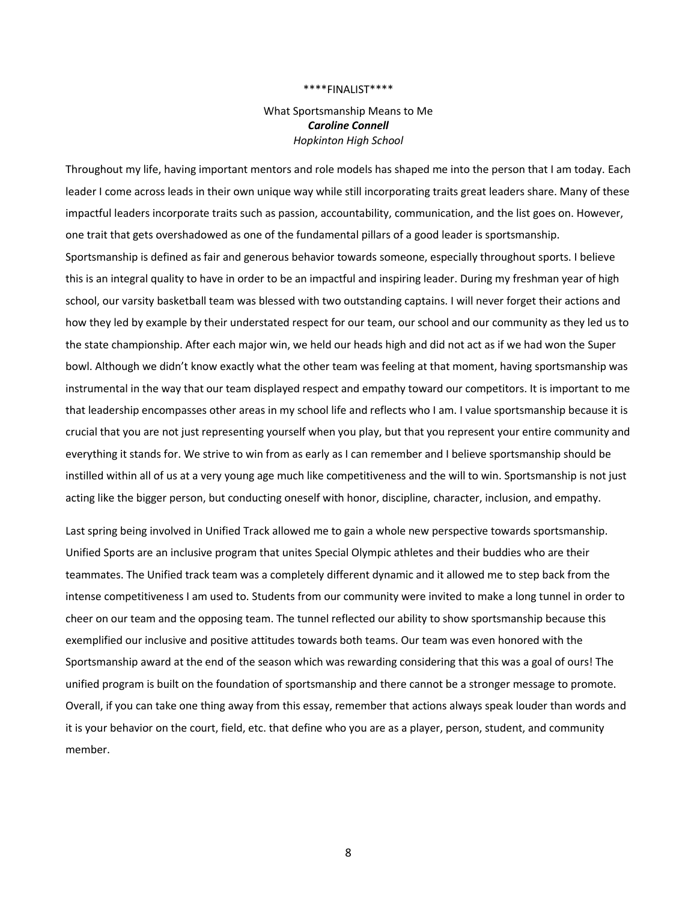## What Sportsmanship Means to Me *Caroline Connell Hopkinton High School*

Throughout my life, having important mentors and role models has shaped me into the person that I am today. Each leader I come across leads in their own unique way while still incorporating traits great leaders share. Many of these impactful leaders incorporate traits such as passion, accountability, communication, and the list goes on. However, one trait that gets overshadowed as one of the fundamental pillars of a good leader is sportsmanship. Sportsmanship is defined as fair and generous behavior towards someone, especially throughout sports. I believe this is an integral quality to have in order to be an impactful and inspiring leader. During my freshman year of high school, our varsity basketball team was blessed with two outstanding captains. I will never forget their actions and how they led by example by their understated respect for our team, our school and our community as they led us to the state championship. After each major win, we held our heads high and did not act as if we had won the Super bowl. Although we didn't know exactly what the other team was feeling at that moment, having sportsmanship was instrumental in the way that our team displayed respect and empathy toward our competitors. It is important to me that leadership encompasses other areas in my school life and reflects who I am. I value sportsmanship because it is crucial that you are not just representing yourself when you play, but that you represent your entire community and everything it stands for. We strive to win from as early as I can remember and I believe sportsmanship should be instilled within all of us at a very young age much like competitiveness and the will to win. Sportsmanship is not just acting like the bigger person, but conducting oneself with honor, discipline, character, inclusion, and empathy.

Last spring being involved in Unified Track allowed me to gain a whole new perspective towards sportsmanship. Unified Sports are an inclusive program that unites Special Olympic athletes and their buddies who are their teammates. The Unified track team was a completely different dynamic and it allowed me to step back from the intense competitiveness I am used to. Students from our community were invited to make a long tunnel in order to cheer on our team and the opposing team. The tunnel reflected our ability to show sportsmanship because this exemplified our inclusive and positive attitudes towards both teams. Our team was even honored with the Sportsmanship award at the end of the season which was rewarding considering that this was a goal of ours! The unified program is built on the foundation of sportsmanship and there cannot be a stronger message to promote. Overall, if you can take one thing away from this essay, remember that actions always speak louder than words and it is your behavior on the court, field, etc. that define who you are as a player, person, student, and community member.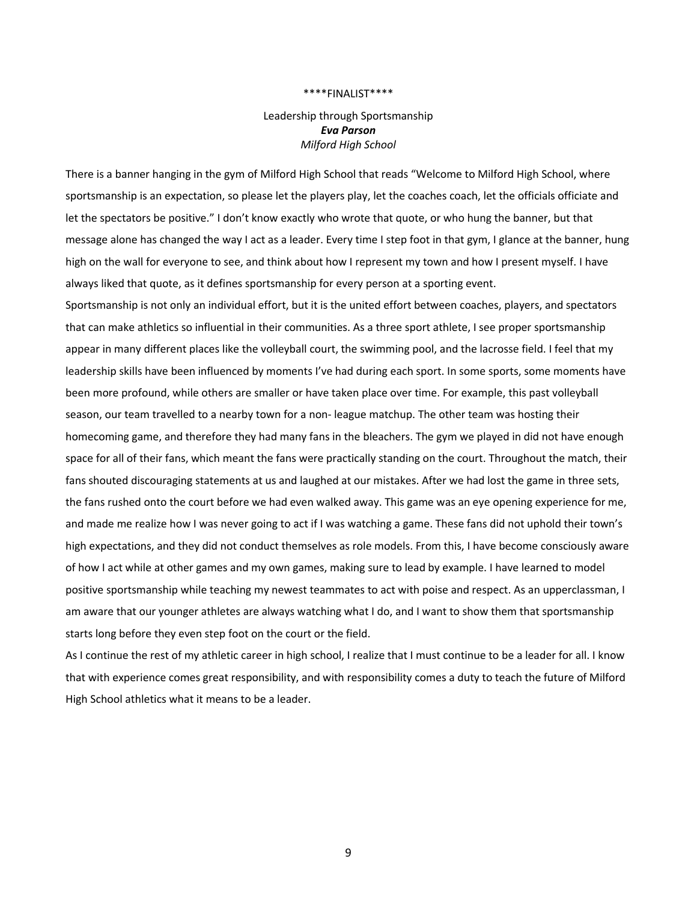## Leadership through Sportsmanship *Eva Parson Milford High School*

There is a banner hanging in the gym of Milford High School that reads "Welcome to Milford High School, where sportsmanship is an expectation, so please let the players play, let the coaches coach, let the officials officiate and let the spectators be positive." I don't know exactly who wrote that quote, or who hung the banner, but that message alone has changed the way I act as a leader. Every time I step foot in that gym, I glance at the banner, hung high on the wall for everyone to see, and think about how I represent my town and how I present myself. I have always liked that quote, as it defines sportsmanship for every person at a sporting event.

Sportsmanship is not only an individual effort, but it is the united effort between coaches, players, and spectators that can make athletics so influential in their communities. As a three sport athlete, I see proper sportsmanship appear in many different places like the volleyball court, the swimming pool, and the lacrosse field. I feel that my leadership skills have been influenced by moments I've had during each sport. In some sports, some moments have been more profound, while others are smaller or have taken place over time. For example, this past volleyball season, our team travelled to a nearby town for a non- league matchup. The other team was hosting their homecoming game, and therefore they had many fans in the bleachers. The gym we played in did not have enough space for all of their fans, which meant the fans were practically standing on the court. Throughout the match, their fans shouted discouraging statements at us and laughed at our mistakes. After we had lost the game in three sets, the fans rushed onto the court before we had even walked away. This game was an eye opening experience for me, and made me realize how I was never going to act if I was watching a game. These fans did not uphold their town's high expectations, and they did not conduct themselves as role models. From this, I have become consciously aware of how I act while at other games and my own games, making sure to lead by example. I have learned to model positive sportsmanship while teaching my newest teammates to act with poise and respect. As an upperclassman, I am aware that our younger athletes are always watching what I do, and I want to show them that sportsmanship starts long before they even step foot on the court or the field.

As I continue the rest of my athletic career in high school, I realize that I must continue to be a leader for all. I know that with experience comes great responsibility, and with responsibility comes a duty to teach the future of Milford High School athletics what it means to be a leader.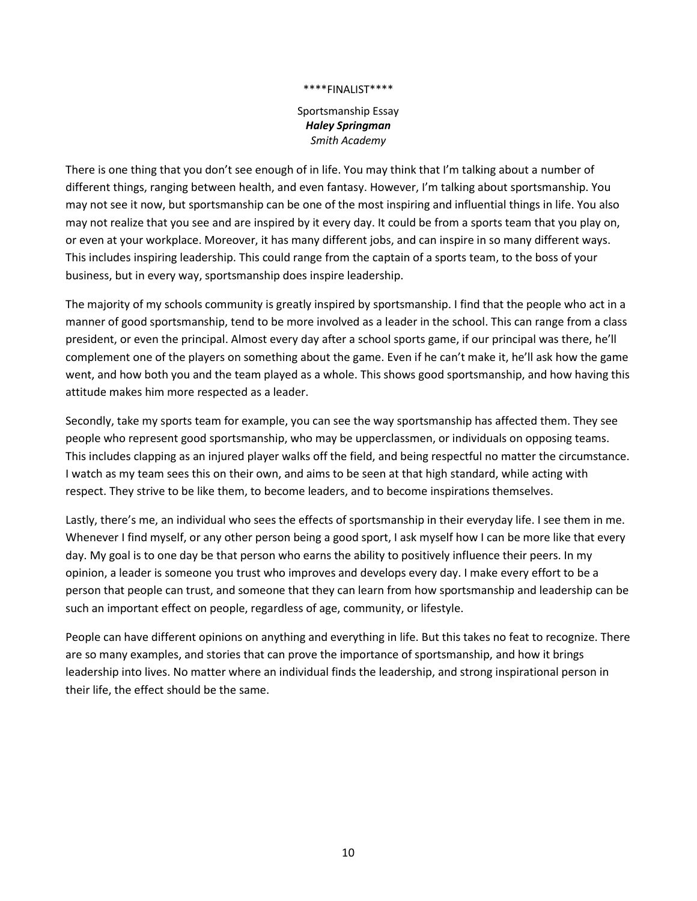Sportsmanship Essay *Haley Springman Smith Academy*

There is one thing that you don't see enough of in life. You may think that I'm talking about a number of different things, ranging between health, and even fantasy. However, I'm talking about sportsmanship. You may not see it now, but sportsmanship can be one of the most inspiring and influential things in life. You also may not realize that you see and are inspired by it every day. It could be from a sports team that you play on, or even at your workplace. Moreover, it has many different jobs, and can inspire in so many different ways. This includes inspiring leadership. This could range from the captain of a sports team, to the boss of your business, but in every way, sportsmanship does inspire leadership.

The majority of my schools community is greatly inspired by sportsmanship. I find that the people who act in a manner of good sportsmanship, tend to be more involved as a leader in the school. This can range from a class president, or even the principal. Almost every day after a school sports game, if our principal was there, he'll complement one of the players on something about the game. Even if he can't make it, he'll ask how the game went, and how both you and the team played as a whole. This shows good sportsmanship, and how having this attitude makes him more respected as a leader.

Secondly, take my sports team for example, you can see the way sportsmanship has affected them. They see people who represent good sportsmanship, who may be upperclassmen, or individuals on opposing teams. This includes clapping as an injured player walks off the field, and being respectful no matter the circumstance. I watch as my team sees this on their own, and aims to be seen at that high standard, while acting with respect. They strive to be like them, to become leaders, and to become inspirations themselves.

Lastly, there's me, an individual who sees the effects of sportsmanship in their everyday life. I see them in me. Whenever I find myself, or any other person being a good sport, I ask myself how I can be more like that every day. My goal is to one day be that person who earns the ability to positively influence their peers. In my opinion, a leader is someone you trust who improves and develops every day. I make every effort to be a person that people can trust, and someone that they can learn from how sportsmanship and leadership can be such an important effect on people, regardless of age, community, or lifestyle.

People can have different opinions on anything and everything in life. But this takes no feat to recognize. There are so many examples, and stories that can prove the importance of sportsmanship, and how it brings leadership into lives. No matter where an individual finds the leadership, and strong inspirational person in their life, the effect should be the same.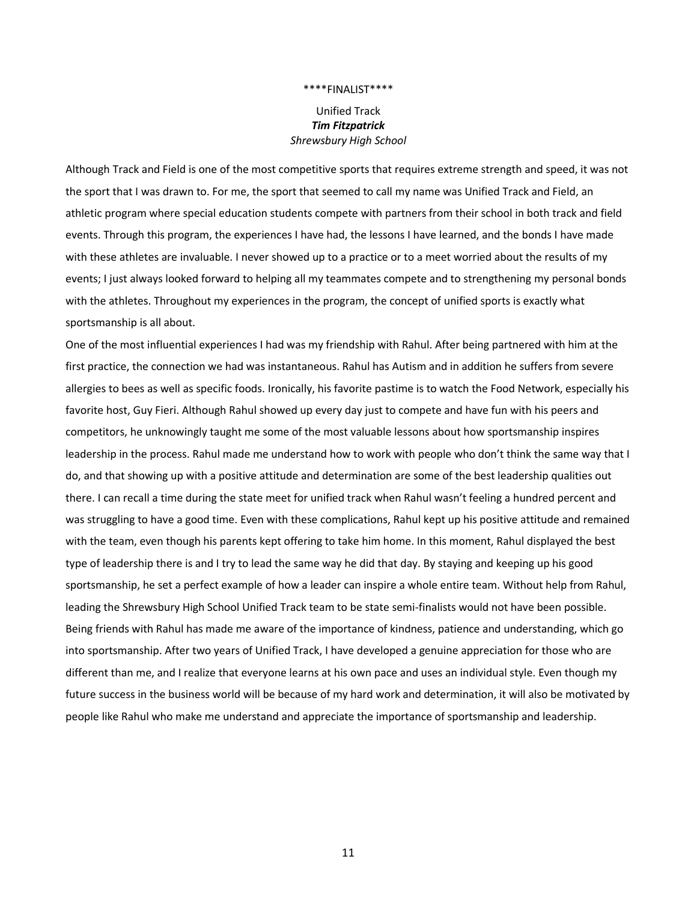## Unified Track *Tim Fitzpatrick Shrewsbury High School*

Although Track and Field is one of the most competitive sports that requires extreme strength and speed, it was not the sport that I was drawn to. For me, the sport that seemed to call my name was Unified Track and Field, an athletic program where special education students compete with partners from their school in both track and field events. Through this program, the experiences I have had, the lessons I have learned, and the bonds I have made with these athletes are invaluable. I never showed up to a practice or to a meet worried about the results of my events; I just always looked forward to helping all my teammates compete and to strengthening my personal bonds with the athletes. Throughout my experiences in the program, the concept of unified sports is exactly what sportsmanship is all about.

One of the most influential experiences I had was my friendship with Rahul. After being partnered with him at the first practice, the connection we had was instantaneous. Rahul has Autism and in addition he suffers from severe allergies to bees as well as specific foods. Ironically, his favorite pastime is to watch the Food Network, especially his favorite host, Guy Fieri. Although Rahul showed up every day just to compete and have fun with his peers and competitors, he unknowingly taught me some of the most valuable lessons about how sportsmanship inspires leadership in the process. Rahul made me understand how to work with people who don't think the same way that I do, and that showing up with a positive attitude and determination are some of the best leadership qualities out there. I can recall a time during the state meet for unified track when Rahul wasn't feeling a hundred percent and was struggling to have a good time. Even with these complications, Rahul kept up his positive attitude and remained with the team, even though his parents kept offering to take him home. In this moment, Rahul displayed the best type of leadership there is and I try to lead the same way he did that day. By staying and keeping up his good sportsmanship, he set a perfect example of how a leader can inspire a whole entire team. Without help from Rahul, leading the Shrewsbury High School Unified Track team to be state semi-finalists would not have been possible. Being friends with Rahul has made me aware of the importance of kindness, patience and understanding, which go into sportsmanship. After two years of Unified Track, I have developed a genuine appreciation for those who are different than me, and I realize that everyone learns at his own pace and uses an individual style. Even though my future success in the business world will be because of my hard work and determination, it will also be motivated by people like Rahul who make me understand and appreciate the importance of sportsmanship and leadership.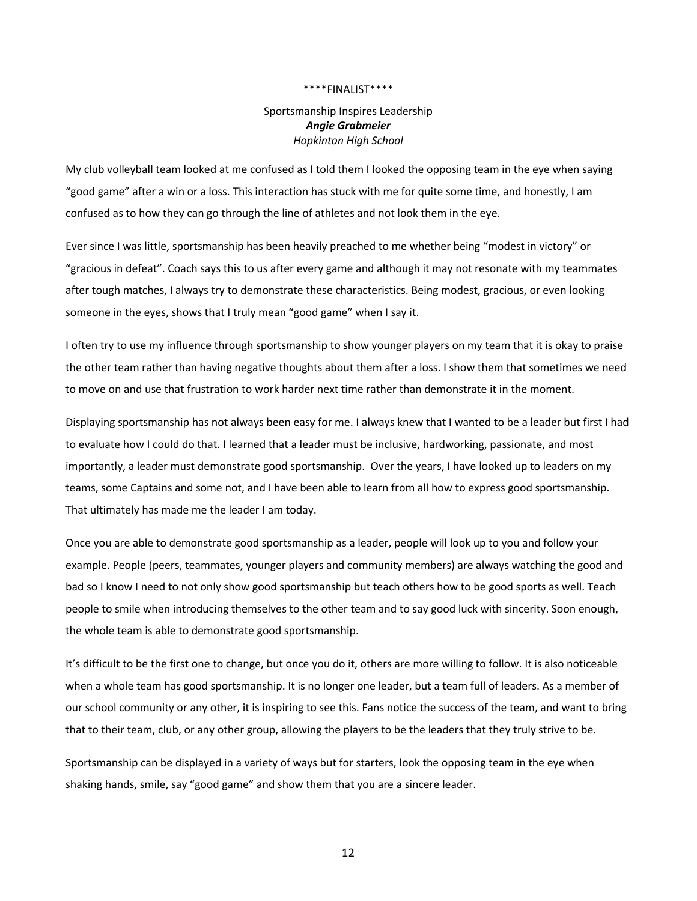## Sportsmanship Inspires Leadership *Angie Grabmeier Hopkinton High School*

My club volleyball team looked at me confused as I told them I looked the opposing team in the eye when saying "good game" after a win or a loss. This interaction has stuck with me for quite some time, and honestly, I am confused as to how they can go through the line of athletes and not look them in the eye.

Ever since I was little, sportsmanship has been heavily preached to me whether being "modest in victory" or "gracious in defeat". Coach says this to us after every game and although it may not resonate with my teammates after tough matches, I always try to demonstrate these characteristics. Being modest, gracious, or even looking someone in the eyes, shows that I truly mean "good game" when I say it.

I often try to use my influence through sportsmanship to show younger players on my team that it is okay to praise the other team rather than having negative thoughts about them after a loss. I show them that sometimes we need to move on and use that frustration to work harder next time rather than demonstrate it in the moment.

Displaying sportsmanship has not always been easy for me. I always knew that I wanted to be a leader but first I had to evaluate how I could do that. I learned that a leader must be inclusive, hardworking, passionate, and most importantly, a leader must demonstrate good sportsmanship. Over the years, I have looked up to leaders on my teams, some Captains and some not, and I have been able to learn from all how to express good sportsmanship. That ultimately has made me the leader I am today.

Once you are able to demonstrate good sportsmanship as a leader, people will look up to you and follow your example. People (peers, teammates, younger players and community members) are always watching the good and bad so I know I need to not only show good sportsmanship but teach others how to be good sports as well. Teach people to smile when introducing themselves to the other team and to say good luck with sincerity. Soon enough, the whole team is able to demonstrate good sportsmanship.

It's difficult to be the first one to change, but once you do it, others are more willing to follow. It is also noticeable when a whole team has good sportsmanship. It is no longer one leader, but a team full of leaders. As a member of our school community or any other, it is inspiring to see this. Fans notice the success of the team, and want to bring that to their team, club, or any other group, allowing the players to be the leaders that they truly strive to be.

Sportsmanship can be displayed in a variety of ways but for starters, look the opposing team in the eye when shaking hands, smile, say "good game" and show them that you are a sincere leader.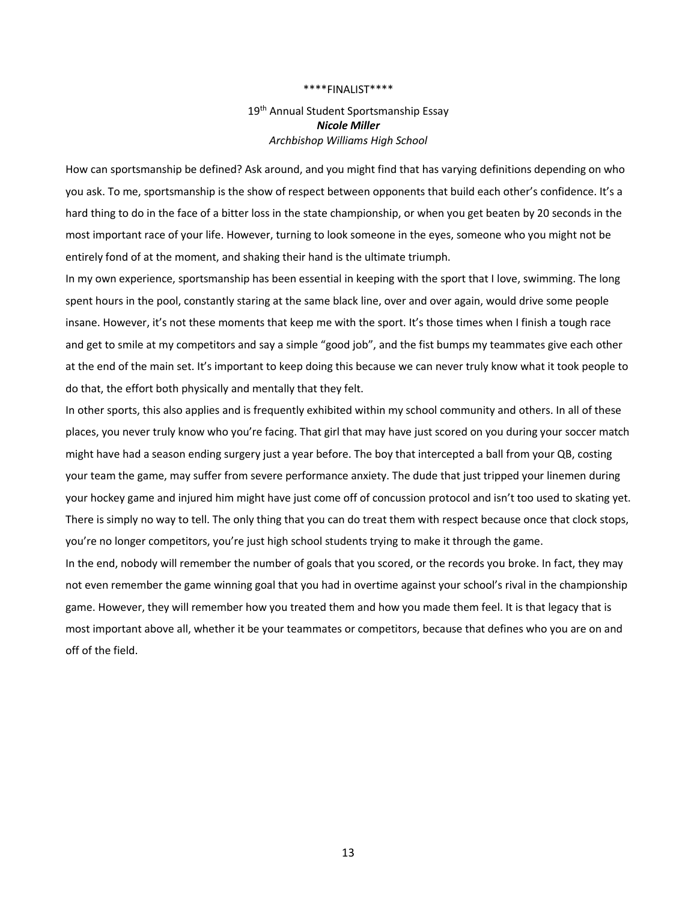## 19<sup>th</sup> Annual Student Sportsmanship Essay *Nicole Miller Archbishop Williams High School*

How can sportsmanship be defined? Ask around, and you might find that has varying definitions depending on who you ask. To me, sportsmanship is the show of respect between opponents that build each other's confidence. It's a hard thing to do in the face of a bitter loss in the state championship, or when you get beaten by 20 seconds in the most important race of your life. However, turning to look someone in the eyes, someone who you might not be entirely fond of at the moment, and shaking their hand is the ultimate triumph.

In my own experience, sportsmanship has been essential in keeping with the sport that I love, swimming. The long spent hours in the pool, constantly staring at the same black line, over and over again, would drive some people insane. However, it's not these moments that keep me with the sport. It's those times when I finish a tough race and get to smile at my competitors and say a simple "good job", and the fist bumps my teammates give each other at the end of the main set. It's important to keep doing this because we can never truly know what it took people to do that, the effort both physically and mentally that they felt.

In other sports, this also applies and is frequently exhibited within my school community and others. In all of these places, you never truly know who you're facing. That girl that may have just scored on you during your soccer match might have had a season ending surgery just a year before. The boy that intercepted a ball from your QB, costing your team the game, may suffer from severe performance anxiety. The dude that just tripped your linemen during your hockey game and injured him might have just come off of concussion protocol and isn't too used to skating yet. There is simply no way to tell. The only thing that you can do treat them with respect because once that clock stops, you're no longer competitors, you're just high school students trying to make it through the game.

In the end, nobody will remember the number of goals that you scored, or the records you broke. In fact, they may not even remember the game winning goal that you had in overtime against your school's rival in the championship game. However, they will remember how you treated them and how you made them feel. It is that legacy that is most important above all, whether it be your teammates or competitors, because that defines who you are on and off of the field.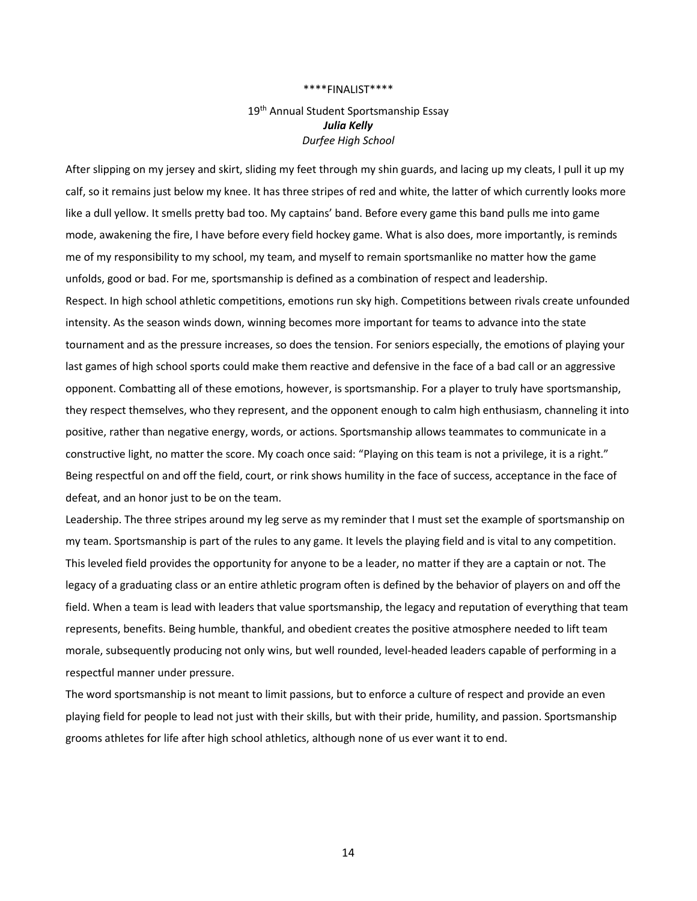## 19<sup>th</sup> Annual Student Sportsmanship Essay *Julia Kelly Durfee High School*

After slipping on my jersey and skirt, sliding my feet through my shin guards, and lacing up my cleats, I pull it up my calf, so it remains just below my knee. It has three stripes of red and white, the latter of which currently looks more like a dull yellow. It smells pretty bad too. My captains' band. Before every game this band pulls me into game mode, awakening the fire, I have before every field hockey game. What is also does, more importantly, is reminds me of my responsibility to my school, my team, and myself to remain sportsmanlike no matter how the game unfolds, good or bad. For me, sportsmanship is defined as a combination of respect and leadership. Respect. In high school athletic competitions, emotions run sky high. Competitions between rivals create unfounded intensity. As the season winds down, winning becomes more important for teams to advance into the state tournament and as the pressure increases, so does the tension. For seniors especially, the emotions of playing your last games of high school sports could make them reactive and defensive in the face of a bad call or an aggressive opponent. Combatting all of these emotions, however, is sportsmanship. For a player to truly have sportsmanship, they respect themselves, who they represent, and the opponent enough to calm high enthusiasm, channeling it into positive, rather than negative energy, words, or actions. Sportsmanship allows teammates to communicate in a constructive light, no matter the score. My coach once said: "Playing on this team is not a privilege, it is a right." Being respectful on and off the field, court, or rink shows humility in the face of success, acceptance in the face of defeat, and an honor just to be on the team.

Leadership. The three stripes around my leg serve as my reminder that I must set the example of sportsmanship on my team. Sportsmanship is part of the rules to any game. It levels the playing field and is vital to any competition. This leveled field provides the opportunity for anyone to be a leader, no matter if they are a captain or not. The legacy of a graduating class or an entire athletic program often is defined by the behavior of players on and off the field. When a team is lead with leaders that value sportsmanship, the legacy and reputation of everything that team represents, benefits. Being humble, thankful, and obedient creates the positive atmosphere needed to lift team morale, subsequently producing not only wins, but well rounded, level-headed leaders capable of performing in a respectful manner under pressure.

The word sportsmanship is not meant to limit passions, but to enforce a culture of respect and provide an even playing field for people to lead not just with their skills, but with their pride, humility, and passion. Sportsmanship grooms athletes for life after high school athletics, although none of us ever want it to end.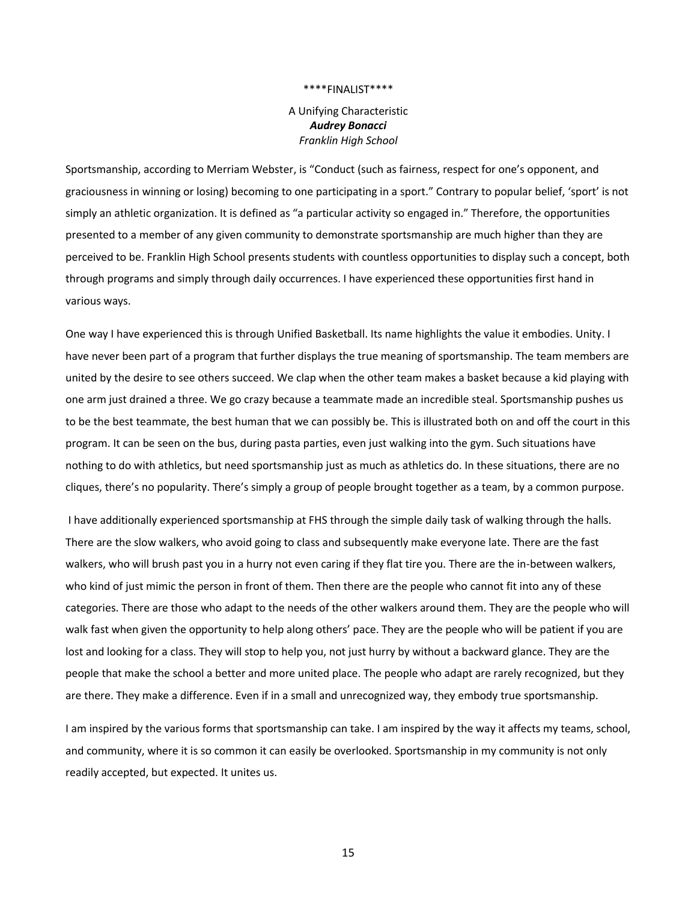A Unifying Characteristic *Audrey Bonacci Franklin High School*

Sportsmanship, according to Merriam Webster, is "Conduct (such as fairness, respect for one's opponent, and graciousness in winning or losing) becoming to one participating in a sport." Contrary to popular belief, 'sport' is not simply an athletic organization. It is defined as "a particular activity so engaged in." Therefore, the opportunities presented to a member of any given community to demonstrate sportsmanship are much higher than they are perceived to be. Franklin High School presents students with countless opportunities to display such a concept, both through programs and simply through daily occurrences. I have experienced these opportunities first hand in various ways.

One way I have experienced this is through Unified Basketball. Its name highlights the value it embodies. Unity. I have never been part of a program that further displays the true meaning of sportsmanship. The team members are united by the desire to see others succeed. We clap when the other team makes a basket because a kid playing with one arm just drained a three. We go crazy because a teammate made an incredible steal. Sportsmanship pushes us to be the best teammate, the best human that we can possibly be. This is illustrated both on and off the court in this program. It can be seen on the bus, during pasta parties, even just walking into the gym. Such situations have nothing to do with athletics, but need sportsmanship just as much as athletics do. In these situations, there are no cliques, there's no popularity. There's simply a group of people brought together as a team, by a common purpose.

I have additionally experienced sportsmanship at FHS through the simple daily task of walking through the halls. There are the slow walkers, who avoid going to class and subsequently make everyone late. There are the fast walkers, who will brush past you in a hurry not even caring if they flat tire you. There are the in-between walkers, who kind of just mimic the person in front of them. Then there are the people who cannot fit into any of these categories. There are those who adapt to the needs of the other walkers around them. They are the people who will walk fast when given the opportunity to help along others' pace. They are the people who will be patient if you are lost and looking for a class. They will stop to help you, not just hurry by without a backward glance. They are the people that make the school a better and more united place. The people who adapt are rarely recognized, but they are there. They make a difference. Even if in a small and unrecognized way, they embody true sportsmanship.

I am inspired by the various forms that sportsmanship can take. I am inspired by the way it affects my teams, school, and community, where it is so common it can easily be overlooked. Sportsmanship in my community is not only readily accepted, but expected. It unites us.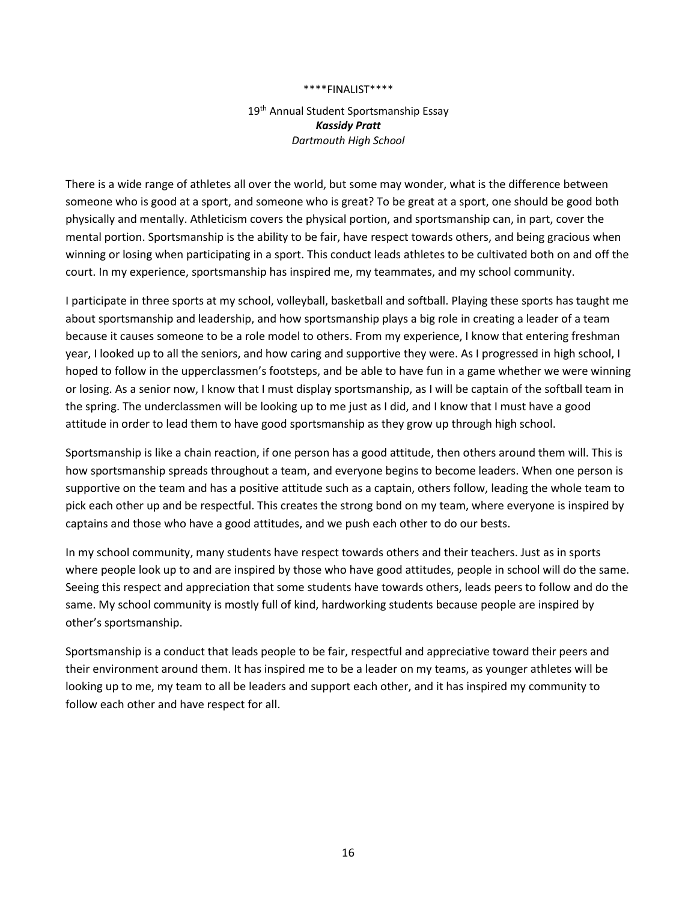## 19<sup>th</sup> Annual Student Sportsmanship Essay *Kassidy Pratt Dartmouth High School*

There is a wide range of athletes all over the world, but some may wonder, what is the difference between someone who is good at a sport, and someone who is great? To be great at a sport, one should be good both physically and mentally. Athleticism covers the physical portion, and sportsmanship can, in part, cover the mental portion. Sportsmanship is the ability to be fair, have respect towards others, and being gracious when winning or losing when participating in a sport. This conduct leads athletes to be cultivated both on and off the court. In my experience, sportsmanship has inspired me, my teammates, and my school community.

I participate in three sports at my school, volleyball, basketball and softball. Playing these sports has taught me about sportsmanship and leadership, and how sportsmanship plays a big role in creating a leader of a team because it causes someone to be a role model to others. From my experience, I know that entering freshman year, I looked up to all the seniors, and how caring and supportive they were. As I progressed in high school, I hoped to follow in the upperclassmen's footsteps, and be able to have fun in a game whether we were winning or losing. As a senior now, I know that I must display sportsmanship, as I will be captain of the softball team in the spring. The underclassmen will be looking up to me just as I did, and I know that I must have a good attitude in order to lead them to have good sportsmanship as they grow up through high school.

Sportsmanship is like a chain reaction, if one person has a good attitude, then others around them will. This is how sportsmanship spreads throughout a team, and everyone begins to become leaders. When one person is supportive on the team and has a positive attitude such as a captain, others follow, leading the whole team to pick each other up and be respectful. This creates the strong bond on my team, where everyone is inspired by captains and those who have a good attitudes, and we push each other to do our bests.

In my school community, many students have respect towards others and their teachers. Just as in sports where people look up to and are inspired by those who have good attitudes, people in school will do the same. Seeing this respect and appreciation that some students have towards others, leads peers to follow and do the same. My school community is mostly full of kind, hardworking students because people are inspired by other's sportsmanship.

Sportsmanship is a conduct that leads people to be fair, respectful and appreciative toward their peers and their environment around them. It has inspired me to be a leader on my teams, as younger athletes will be looking up to me, my team to all be leaders and support each other, and it has inspired my community to follow each other and have respect for all.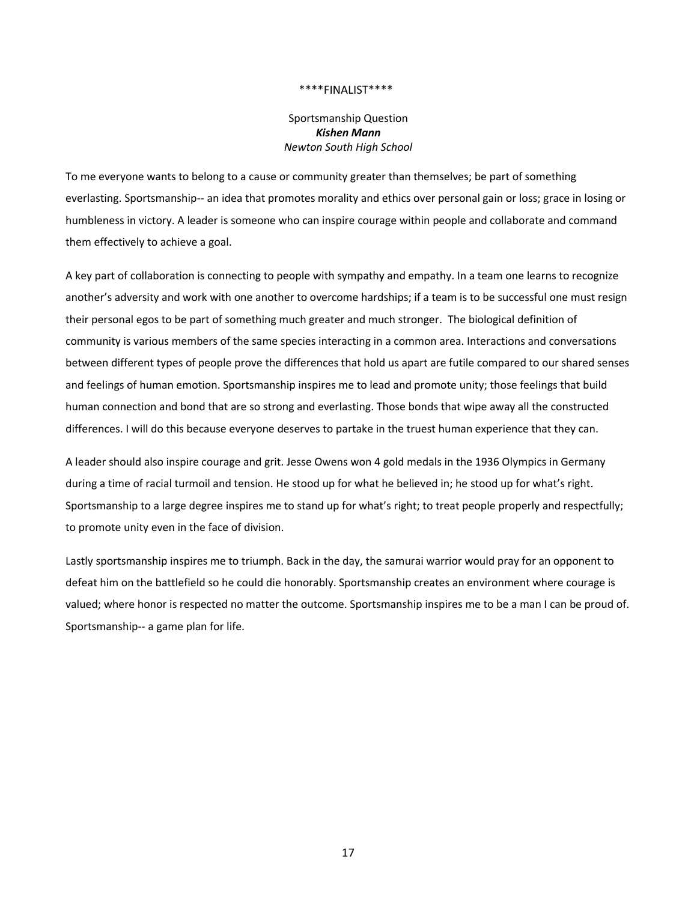Sportsmanship Question *Kishen Mann Newton South High School*

To me everyone wants to belong to a cause or community greater than themselves; be part of something everlasting. Sportsmanship-- an idea that promotes morality and ethics over personal gain or loss; grace in losing or humbleness in victory. A leader is someone who can inspire courage within people and collaborate and command them effectively to achieve a goal.

A key part of collaboration is connecting to people with sympathy and empathy. In a team one learns to recognize another's adversity and work with one another to overcome hardships; if a team is to be successful one must resign their personal egos to be part of something much greater and much stronger. The biological definition of community is various members of the same species interacting in a common area. Interactions and conversations between different types of people prove the differences that hold us apart are futile compared to our shared senses and feelings of human emotion. Sportsmanship inspires me to lead and promote unity; those feelings that build human connection and bond that are so strong and everlasting. Those bonds that wipe away all the constructed differences. I will do this because everyone deserves to partake in the truest human experience that they can.

A leader should also inspire courage and grit. Jesse Owens won 4 gold medals in the 1936 Olympics in Germany during a time of racial turmoil and tension. He stood up for what he believed in; he stood up for what's right. Sportsmanship to a large degree inspires me to stand up for what's right; to treat people properly and respectfully; to promote unity even in the face of division.

Lastly sportsmanship inspires me to triumph. Back in the day, the samurai warrior would pray for an opponent to defeat him on the battlefield so he could die honorably. Sportsmanship creates an environment where courage is valued; where honor is respected no matter the outcome. Sportsmanship inspires me to be a man I can be proud of. Sportsmanship-- a game plan for life.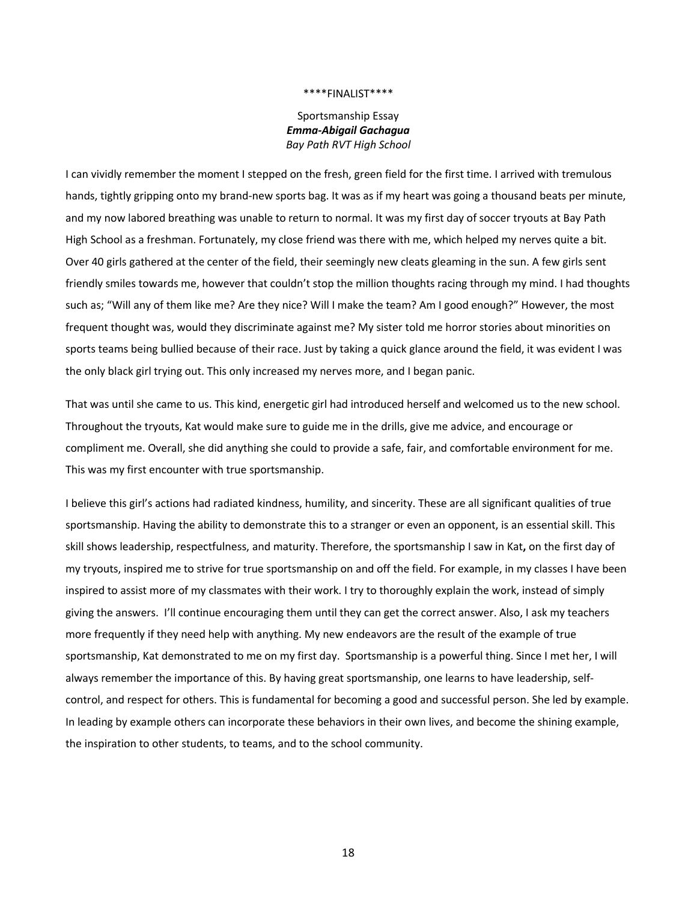## Sportsmanship Essay *Emma-Abigail Gachagua Bay Path RVT High School*

I can vividly remember the moment I stepped on the fresh, green field for the first time. I arrived with tremulous hands, tightly gripping onto my brand-new sports bag. It was as if my heart was going a thousand beats per minute, and my now labored breathing was unable to return to normal. It was my first day of soccer tryouts at Bay Path High School as a freshman. Fortunately, my close friend was there with me, which helped my nerves quite a bit. Over 40 girls gathered at the center of the field, their seemingly new cleats gleaming in the sun. A few girls sent friendly smiles towards me, however that couldn't stop the million thoughts racing through my mind. I had thoughts such as; "Will any of them like me? Are they nice? Will I make the team? Am I good enough?" However, the most frequent thought was, would they discriminate against me? My sister told me horror stories about minorities on sports teams being bullied because of their race. Just by taking a quick glance around the field, it was evident I was the only black girl trying out. This only increased my nerves more, and I began panic.

That was until she came to us. This kind, energetic girl had introduced herself and welcomed us to the new school. Throughout the tryouts, Kat would make sure to guide me in the drills, give me advice, and encourage or compliment me. Overall, she did anything she could to provide a safe, fair, and comfortable environment for me. This was my first encounter with true sportsmanship.

I believe this girl's actions had radiated kindness, humility, and sincerity. These are all significant qualities of true sportsmanship. Having the ability to demonstrate this to a stranger or even an opponent, is an essential skill. This skill shows leadership, respectfulness, and maturity. Therefore, the sportsmanship I saw in Kat**,** on the first day of my tryouts, inspired me to strive for true sportsmanship on and off the field. For example, in my classes I have been inspired to assist more of my classmates with their work. I try to thoroughly explain the work, instead of simply giving the answers. I'll continue encouraging them until they can get the correct answer. Also, I ask my teachers more frequently if they need help with anything. My new endeavors are the result of the example of true sportsmanship, Kat demonstrated to me on my first day. Sportsmanship is a powerful thing. Since I met her, I will always remember the importance of this. By having great sportsmanship, one learns to have leadership, selfcontrol, and respect for others. This is fundamental for becoming a good and successful person. She led by example. In leading by example others can incorporate these behaviors in their own lives, and become the shining example, the inspiration to other students, to teams, and to the school community.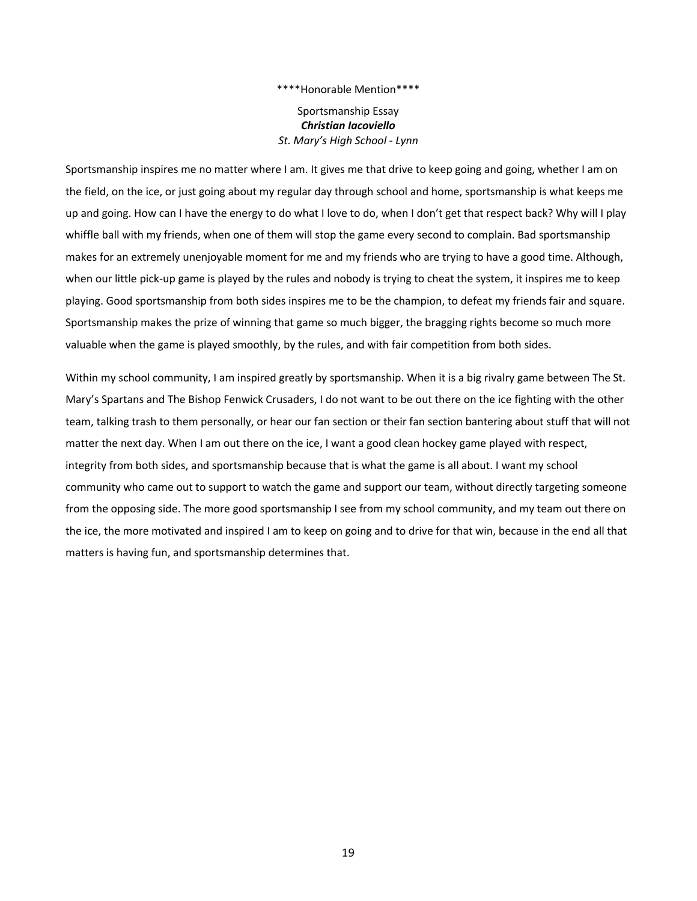Sportsmanship Essay *Christian Iacoviello St. Mary's High School - Lynn*

Sportsmanship inspires me no matter where I am. It gives me that drive to keep going and going, whether I am on the field, on the ice, or just going about my regular day through school and home, sportsmanship is what keeps me up and going. How can I have the energy to do what I love to do, when I don't get that respect back? Why will I play whiffle ball with my friends, when one of them will stop the game every second to complain. Bad sportsmanship makes for an extremely unenjoyable moment for me and my friends who are trying to have a good time. Although, when our little pick-up game is played by the rules and nobody is trying to cheat the system, it inspires me to keep playing. Good sportsmanship from both sides inspires me to be the champion, to defeat my friends fair and square. Sportsmanship makes the prize of winning that game so much bigger, the bragging rights become so much more valuable when the game is played smoothly, by the rules, and with fair competition from both sides.

Within my school community, I am inspired greatly by sportsmanship. When it is a big rivalry game between The St. Mary's Spartans and The Bishop Fenwick Crusaders, I do not want to be out there on the ice fighting with the other team, talking trash to them personally, or hear our fan section or their fan section bantering about stuff that will not matter the next day. When I am out there on the ice, I want a good clean hockey game played with respect, integrity from both sides, and sportsmanship because that is what the game is all about. I want my school community who came out to support to watch the game and support our team, without directly targeting someone from the opposing side. The more good sportsmanship I see from my school community, and my team out there on the ice, the more motivated and inspired I am to keep on going and to drive for that win, because in the end all that matters is having fun, and sportsmanship determines that.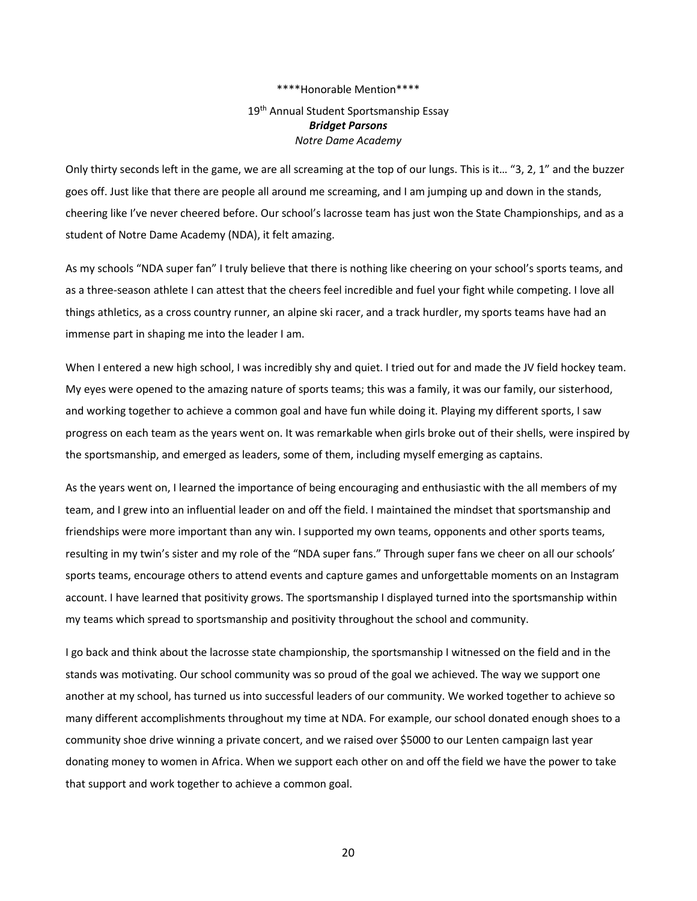## 19<sup>th</sup> Annual Student Sportsmanship Essay *Bridget Parsons Notre Dame Academy*

Only thirty seconds left in the game, we are all screaming at the top of our lungs. This is it... "3, 2, 1" and the buzzer goes off. Just like that there are people all around me screaming, and I am jumping up and down in the stands, cheering like I've never cheered before. Our school's lacrosse team has just won the State Championships, and as a student of Notre Dame Academy (NDA), it felt amazing.

As my schools "NDA super fan" I truly believe that there is nothing like cheering on your school's sports teams, and as a three-season athlete I can attest that the cheers feel incredible and fuel your fight while competing. I love all things athletics, as a cross country runner, an alpine ski racer, and a track hurdler, my sports teams have had an immense part in shaping me into the leader I am.

When I entered a new high school, I was incredibly shy and quiet. I tried out for and made the JV field hockey team. My eyes were opened to the amazing nature of sports teams; this was a family, it was our family, our sisterhood, and working together to achieve a common goal and have fun while doing it. Playing my different sports, I saw progress on each team as the years went on. It was remarkable when girls broke out of their shells, were inspired by the sportsmanship, and emerged as leaders, some of them, including myself emerging as captains.

As the years went on, I learned the importance of being encouraging and enthusiastic with the all members of my team, and I grew into an influential leader on and off the field. I maintained the mindset that sportsmanship and friendships were more important than any win. I supported my own teams, opponents and other sports teams, resulting in my twin's sister and my role of the "NDA super fans." Through super fans we cheer on all our schools' sports teams, encourage others to attend events and capture games and unforgettable moments on an Instagram account. I have learned that positivity grows. The sportsmanship I displayed turned into the sportsmanship within my teams which spread to sportsmanship and positivity throughout the school and community.

I go back and think about the lacrosse state championship, the sportsmanship I witnessed on the field and in the stands was motivating. Our school community was so proud of the goal we achieved. The way we support one another at my school, has turned us into successful leaders of our community. We worked together to achieve so many different accomplishments throughout my time at NDA. For example, our school donated enough shoes to a community shoe drive winning a private concert, and we raised over \$5000 to our Lenten campaign last year donating money to women in Africa. When we support each other on and off the field we have the power to take that support and work together to achieve a common goal.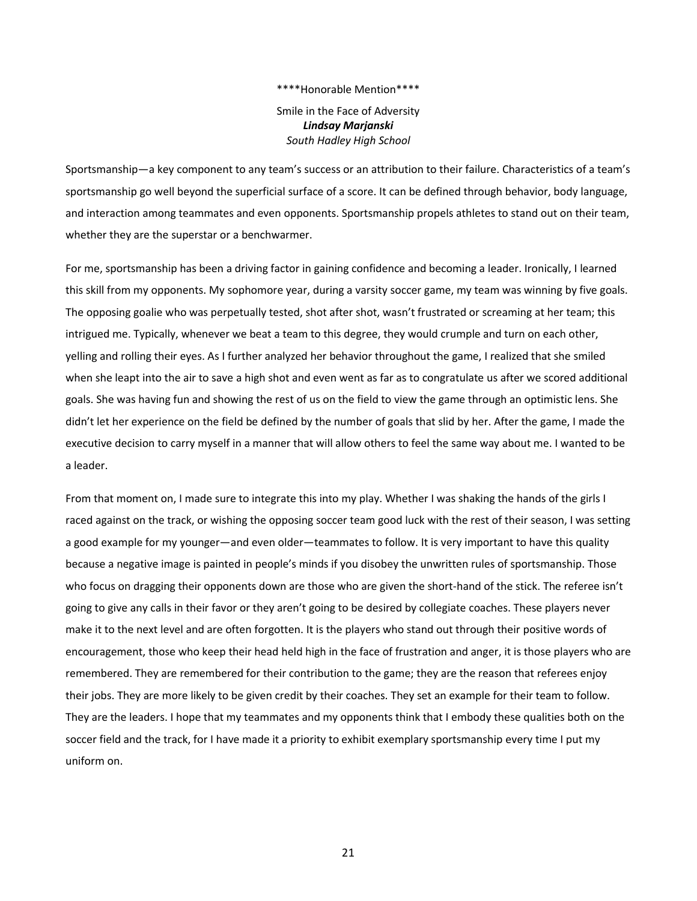Smile in the Face of Adversity *Lindsay Marjanski South Hadley High School*

Sportsmanship—a key component to any team's success or an attribution to their failure. Characteristics of a team's sportsmanship go well beyond the superficial surface of a score. It can be defined through behavior, body language, and interaction among teammates and even opponents. Sportsmanship propels athletes to stand out on their team, whether they are the superstar or a benchwarmer.

For me, sportsmanship has been a driving factor in gaining confidence and becoming a leader. Ironically, I learned this skill from my opponents. My sophomore year, during a varsity soccer game, my team was winning by five goals. The opposing goalie who was perpetually tested, shot after shot, wasn't frustrated or screaming at her team; this intrigued me. Typically, whenever we beat a team to this degree, they would crumple and turn on each other, yelling and rolling their eyes. As I further analyzed her behavior throughout the game, I realized that she smiled when she leapt into the air to save a high shot and even went as far as to congratulate us after we scored additional goals. She was having fun and showing the rest of us on the field to view the game through an optimistic lens. She didn't let her experience on the field be defined by the number of goals that slid by her. After the game, I made the executive decision to carry myself in a manner that will allow others to feel the same way about me. I wanted to be a leader.

From that moment on, I made sure to integrate this into my play. Whether I was shaking the hands of the girls I raced against on the track, or wishing the opposing soccer team good luck with the rest of their season, I was setting a good example for my younger—and even older—teammates to follow. It is very important to have this quality because a negative image is painted in people's minds if you disobey the unwritten rules of sportsmanship. Those who focus on dragging their opponents down are those who are given the short-hand of the stick. The referee isn't going to give any calls in their favor or they aren't going to be desired by collegiate coaches. These players never make it to the next level and are often forgotten. It is the players who stand out through their positive words of encouragement, those who keep their head held high in the face of frustration and anger, it is those players who are remembered. They are remembered for their contribution to the game; they are the reason that referees enjoy their jobs. They are more likely to be given credit by their coaches. They set an example for their team to follow. They are the leaders. I hope that my teammates and my opponents think that I embody these qualities both on the soccer field and the track, for I have made it a priority to exhibit exemplary sportsmanship every time I put my uniform on.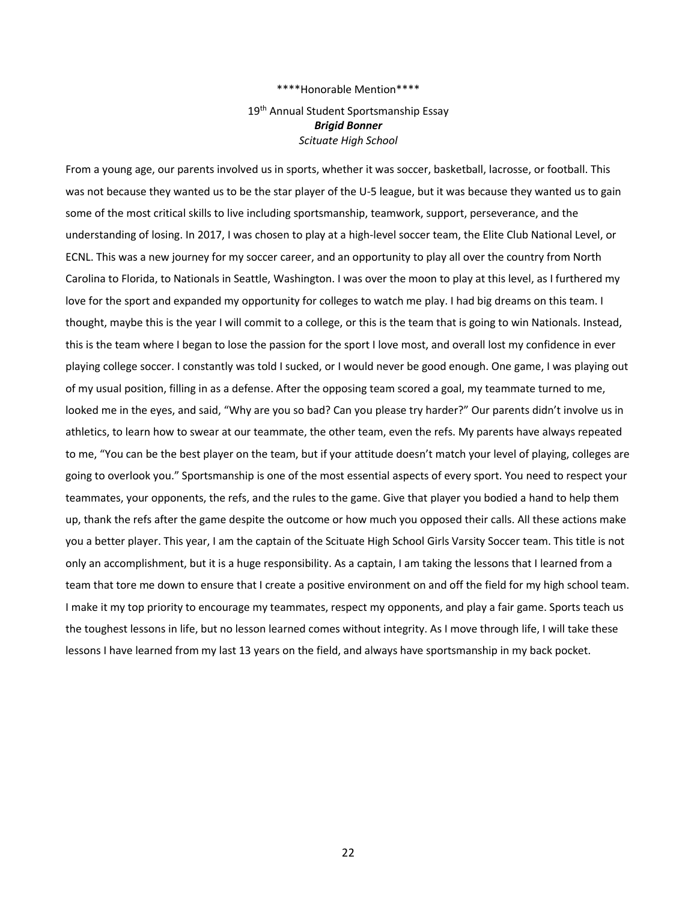## 19<sup>th</sup> Annual Student Sportsmanship Essay *Brigid Bonner Scituate High School*

From a young age, our parents involved us in sports, whether it was soccer, basketball, lacrosse, or football. This was not because they wanted us to be the star player of the U-5 league, but it was because they wanted us to gain some of the most critical skills to live including sportsmanship, teamwork, support, perseverance, and the understanding of losing. In 2017, I was chosen to play at a high-level soccer team, the Elite Club National Level, or ECNL. This was a new journey for my soccer career, and an opportunity to play all over the country from North Carolina to Florida, to Nationals in Seattle, Washington. I was over the moon to play at this level, as I furthered my love for the sport and expanded my opportunity for colleges to watch me play. I had big dreams on this team. I thought, maybe this is the year I will commit to a college, or this is the team that is going to win Nationals. Instead, this is the team where I began to lose the passion for the sport I love most, and overall lost my confidence in ever playing college soccer. I constantly was told I sucked, or I would never be good enough. One game, I was playing out of my usual position, filling in as a defense. After the opposing team scored a goal, my teammate turned to me, looked me in the eyes, and said, "Why are you so bad? Can you please try harder?" Our parents didn't involve us in athletics, to learn how to swear at our teammate, the other team, even the refs. My parents have always repeated to me, "You can be the best player on the team, but if your attitude doesn't match your level of playing, colleges are going to overlook you." Sportsmanship is one of the most essential aspects of every sport. You need to respect your teammates, your opponents, the refs, and the rules to the game. Give that player you bodied a hand to help them up, thank the refs after the game despite the outcome or how much you opposed their calls. All these actions make you a better player. This year, I am the captain of the Scituate High School Girls Varsity Soccer team. This title is not only an accomplishment, but it is a huge responsibility. As a captain, I am taking the lessons that I learned from a team that tore me down to ensure that I create a positive environment on and off the field for my high school team. I make it my top priority to encourage my teammates, respect my opponents, and play a fair game. Sports teach us the toughest lessons in life, but no lesson learned comes without integrity. As I move through life, I will take these lessons I have learned from my last 13 years on the field, and always have sportsmanship in my back pocket.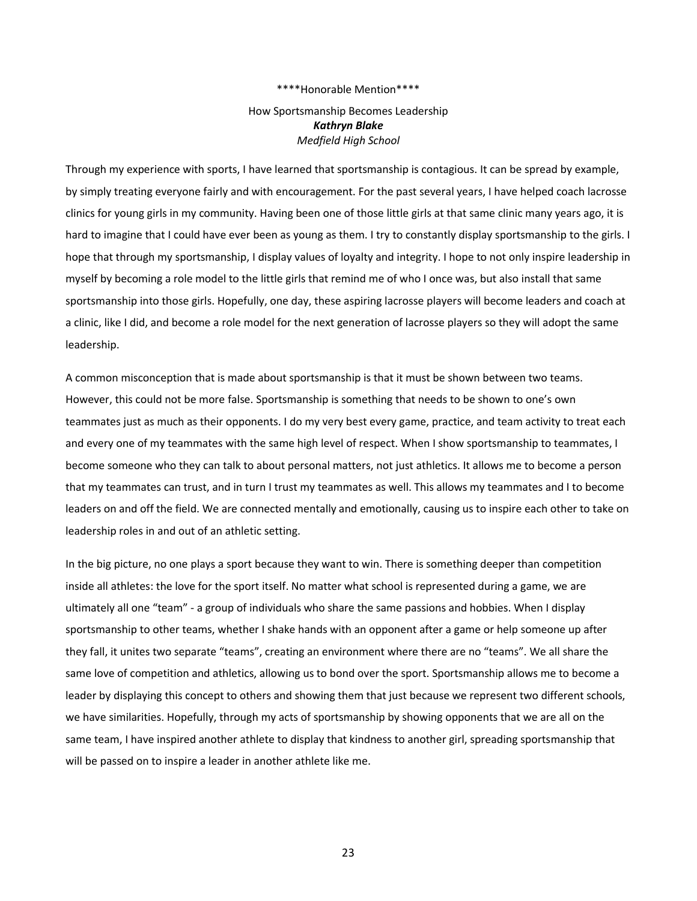## How Sportsmanship Becomes Leadership *Kathryn Blake Medfield High School*

Through my experience with sports, I have learned that sportsmanship is contagious. It can be spread by example, by simply treating everyone fairly and with encouragement. For the past several years, I have helped coach lacrosse clinics for young girls in my community. Having been one of those little girls at that same clinic many years ago, it is hard to imagine that I could have ever been as young as them. I try to constantly display sportsmanship to the girls. I hope that through my sportsmanship, I display values of loyalty and integrity. I hope to not only inspire leadership in myself by becoming a role model to the little girls that remind me of who I once was, but also install that same sportsmanship into those girls. Hopefully, one day, these aspiring lacrosse players will become leaders and coach at a clinic, like I did, and become a role model for the next generation of lacrosse players so they will adopt the same leadership.

A common misconception that is made about sportsmanship is that it must be shown between two teams. However, this could not be more false. Sportsmanship is something that needs to be shown to one's own teammates just as much as their opponents. I do my very best every game, practice, and team activity to treat each and every one of my teammates with the same high level of respect. When I show sportsmanship to teammates, I become someone who they can talk to about personal matters, not just athletics. It allows me to become a person that my teammates can trust, and in turn I trust my teammates as well. This allows my teammates and I to become leaders on and off the field. We are connected mentally and emotionally, causing us to inspire each other to take on leadership roles in and out of an athletic setting.

In the big picture, no one plays a sport because they want to win. There is something deeper than competition inside all athletes: the love for the sport itself. No matter what school is represented during a game, we are ultimately all one "team" - a group of individuals who share the same passions and hobbies. When I display sportsmanship to other teams, whether I shake hands with an opponent after a game or help someone up after they fall, it unites two separate "teams", creating an environment where there are no "teams". We all share the same love of competition and athletics, allowing us to bond over the sport. Sportsmanship allows me to become a leader by displaying this concept to others and showing them that just because we represent two different schools, we have similarities. Hopefully, through my acts of sportsmanship by showing opponents that we are all on the same team, I have inspired another athlete to display that kindness to another girl, spreading sportsmanship that will be passed on to inspire a leader in another athlete like me.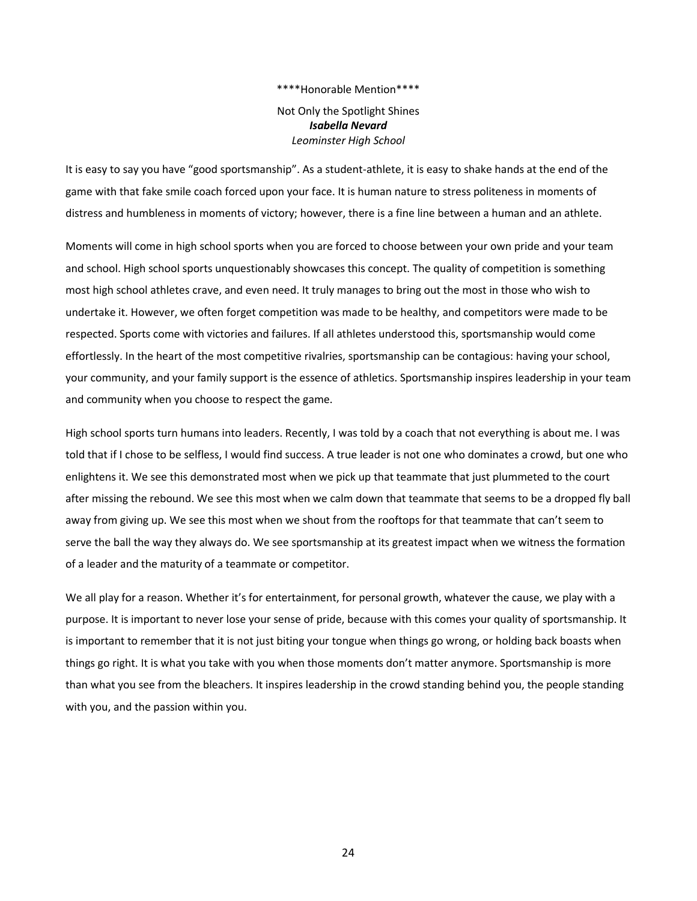Not Only the Spotlight Shines *Isabella Nevard Leominster High School*

It is easy to say you have "good sportsmanship". As a student-athlete, it is easy to shake hands at the end of the game with that fake smile coach forced upon your face. It is human nature to stress politeness in moments of distress and humbleness in moments of victory; however, there is a fine line between a human and an athlete.

Moments will come in high school sports when you are forced to choose between your own pride and your team and school. High school sports unquestionably showcases this concept. The quality of competition is something most high school athletes crave, and even need. It truly manages to bring out the most in those who wish to undertake it. However, we often forget competition was made to be healthy, and competitors were made to be respected. Sports come with victories and failures. If all athletes understood this, sportsmanship would come effortlessly. In the heart of the most competitive rivalries, sportsmanship can be contagious: having your school, your community, and your family support is the essence of athletics. Sportsmanship inspires leadership in your team and community when you choose to respect the game.

High school sports turn humans into leaders. Recently, I was told by a coach that not everything is about me. I was told that if I chose to be selfless, I would find success. A true leader is not one who dominates a crowd, but one who enlightens it. We see this demonstrated most when we pick up that teammate that just plummeted to the court after missing the rebound. We see this most when we calm down that teammate that seems to be a dropped fly ball away from giving up. We see this most when we shout from the rooftops for that teammate that can't seem to serve the ball the way they always do. We see sportsmanship at its greatest impact when we witness the formation of a leader and the maturity of a teammate or competitor.

We all play for a reason. Whether it's for entertainment, for personal growth, whatever the cause, we play with a purpose. It is important to never lose your sense of pride, because with this comes your quality of sportsmanship. It is important to remember that it is not just biting your tongue when things go wrong, or holding back boasts when things go right. It is what you take with you when those moments don't matter anymore. Sportsmanship is more than what you see from the bleachers. It inspires leadership in the crowd standing behind you, the people standing with you, and the passion within you.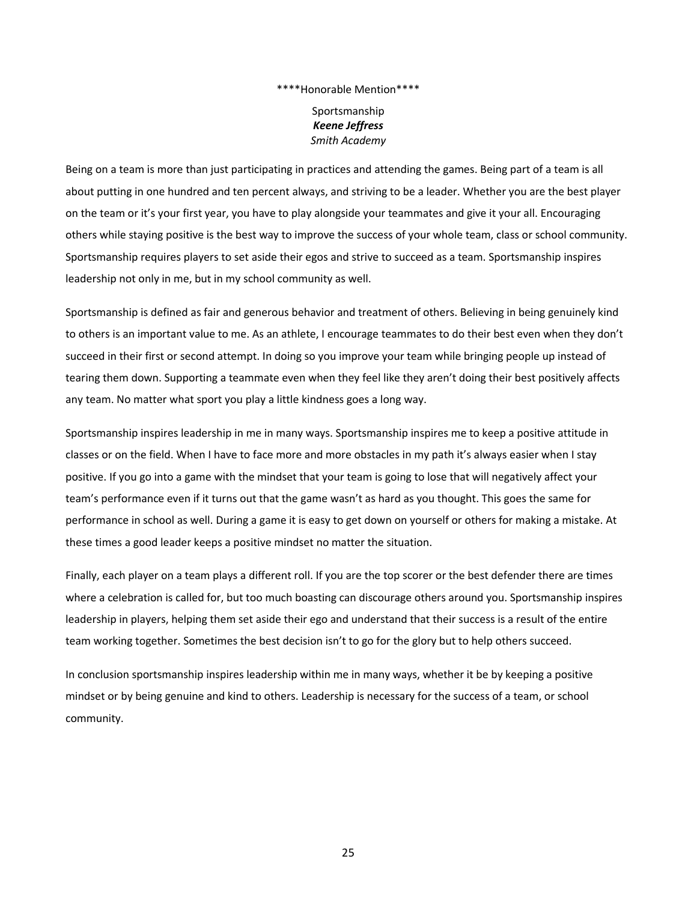Sportsmanship *Keene Jeffress Smith Academy*

Being on a team is more than just participating in practices and attending the games. Being part of a team is all about putting in one hundred and ten percent always, and striving to be a leader. Whether you are the best player on the team or it's your first year, you have to play alongside your teammates and give it your all. Encouraging others while staying positive is the best way to improve the success of your whole team, class or school community. Sportsmanship requires players to set aside their egos and strive to succeed as a team. Sportsmanship inspires leadership not only in me, but in my school community as well.

Sportsmanship is defined as fair and generous behavior and treatment of others. Believing in being genuinely kind to others is an important value to me. As an athlete, I encourage teammates to do their best even when they don't succeed in their first or second attempt. In doing so you improve your team while bringing people up instead of tearing them down. Supporting a teammate even when they feel like they aren't doing their best positively affects any team. No matter what sport you play a little kindness goes a long way.

Sportsmanship inspires leadership in me in many ways. Sportsmanship inspires me to keep a positive attitude in classes or on the field. When I have to face more and more obstacles in my path it's always easier when I stay positive. If you go into a game with the mindset that your team is going to lose that will negatively affect your team's performance even if it turns out that the game wasn't as hard as you thought. This goes the same for performance in school as well. During a game it is easy to get down on yourself or others for making a mistake. At these times a good leader keeps a positive mindset no matter the situation.

Finally, each player on a team plays a different roll. If you are the top scorer or the best defender there are times where a celebration is called for, but too much boasting can discourage others around you. Sportsmanship inspires leadership in players, helping them set aside their ego and understand that their success is a result of the entire team working together. Sometimes the best decision isn't to go for the glory but to help others succeed.

In conclusion sportsmanship inspires leadership within me in many ways, whether it be by keeping a positive mindset or by being genuine and kind to others. Leadership is necessary for the success of a team, or school community.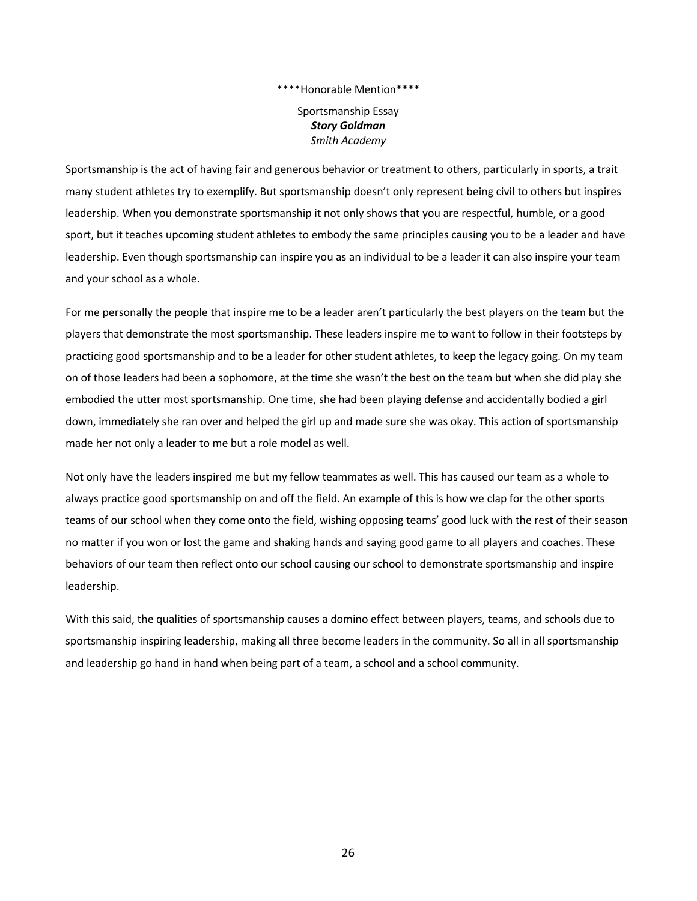Sportsmanship Essay *Story Goldman Smith Academy*

Sportsmanship is the act of having fair and generous behavior or treatment to others, particularly in sports, a trait many student athletes try to exemplify. But sportsmanship doesn't only represent being civil to others but inspires leadership. When you demonstrate sportsmanship it not only shows that you are respectful, humble, or a good sport, but it teaches upcoming student athletes to embody the same principles causing you to be a leader and have leadership. Even though sportsmanship can inspire you as an individual to be a leader it can also inspire your team and your school as a whole.

For me personally the people that inspire me to be a leader aren't particularly the best players on the team but the players that demonstrate the most sportsmanship. These leaders inspire me to want to follow in their footsteps by practicing good sportsmanship and to be a leader for other student athletes, to keep the legacy going. On my team on of those leaders had been a sophomore, at the time she wasn't the best on the team but when she did play she embodied the utter most sportsmanship. One time, she had been playing defense and accidentally bodied a girl down, immediately she ran over and helped the girl up and made sure she was okay. This action of sportsmanship made her not only a leader to me but a role model as well.

Not only have the leaders inspired me but my fellow teammates as well. This has caused our team as a whole to always practice good sportsmanship on and off the field. An example of this is how we clap for the other sports teams of our school when they come onto the field, wishing opposing teams' good luck with the rest of their season no matter if you won or lost the game and shaking hands and saying good game to all players and coaches. These behaviors of our team then reflect onto our school causing our school to demonstrate sportsmanship and inspire leadership.

With this said, the qualities of sportsmanship causes a domino effect between players, teams, and schools due to sportsmanship inspiring leadership, making all three become leaders in the community. So all in all sportsmanship and leadership go hand in hand when being part of a team, a school and a school community.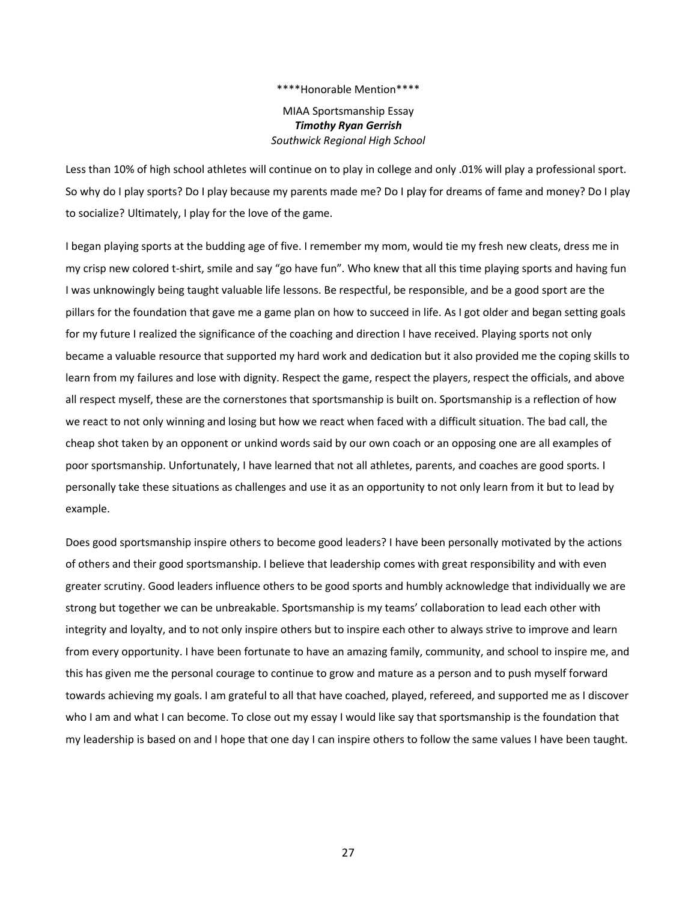MIAA Sportsmanship Essay *Timothy Ryan Gerrish Southwick Regional High School*

Less than 10% of high school athletes will continue on to play in college and only .01% will play a professional sport. So why do I play sports? Do I play because my parents made me? Do I play for dreams of fame and money? Do I play to socialize? Ultimately, I play for the love of the game.

I began playing sports at the budding age of five. I remember my mom, would tie my fresh new cleats, dress me in my crisp new colored t-shirt, smile and say "go have fun". Who knew that all this time playing sports and having fun I was unknowingly being taught valuable life lessons. Be respectful, be responsible, and be a good sport are the pillars for the foundation that gave me a game plan on how to succeed in life. As I got older and began setting goals for my future I realized the significance of the coaching and direction I have received. Playing sports not only became a valuable resource that supported my hard work and dedication but it also provided me the coping skills to learn from my failures and lose with dignity. Respect the game, respect the players, respect the officials, and above all respect myself, these are the cornerstones that sportsmanship is built on. Sportsmanship is a reflection of how we react to not only winning and losing but how we react when faced with a difficult situation. The bad call, the cheap shot taken by an opponent or unkind words said by our own coach or an opposing one are all examples of poor sportsmanship. Unfortunately, I have learned that not all athletes, parents, and coaches are good sports. I personally take these situations as challenges and use it as an opportunity to not only learn from it but to lead by example.

Does good sportsmanship inspire others to become good leaders? I have been personally motivated by the actions of others and their good sportsmanship. I believe that leadership comes with great responsibility and with even greater scrutiny. Good leaders influence others to be good sports and humbly acknowledge that individually we are strong but together we can be unbreakable. Sportsmanship is my teams' collaboration to lead each other with integrity and loyalty, and to not only inspire others but to inspire each other to always strive to improve and learn from every opportunity. I have been fortunate to have an amazing family, community, and school to inspire me, and this has given me the personal courage to continue to grow and mature as a person and to push myself forward towards achieving my goals. I am grateful to all that have coached, played, refereed, and supported me as I discover who I am and what I can become. To close out my essay I would like say that sportsmanship is the foundation that my leadership is based on and I hope that one day I can inspire others to follow the same values I have been taught.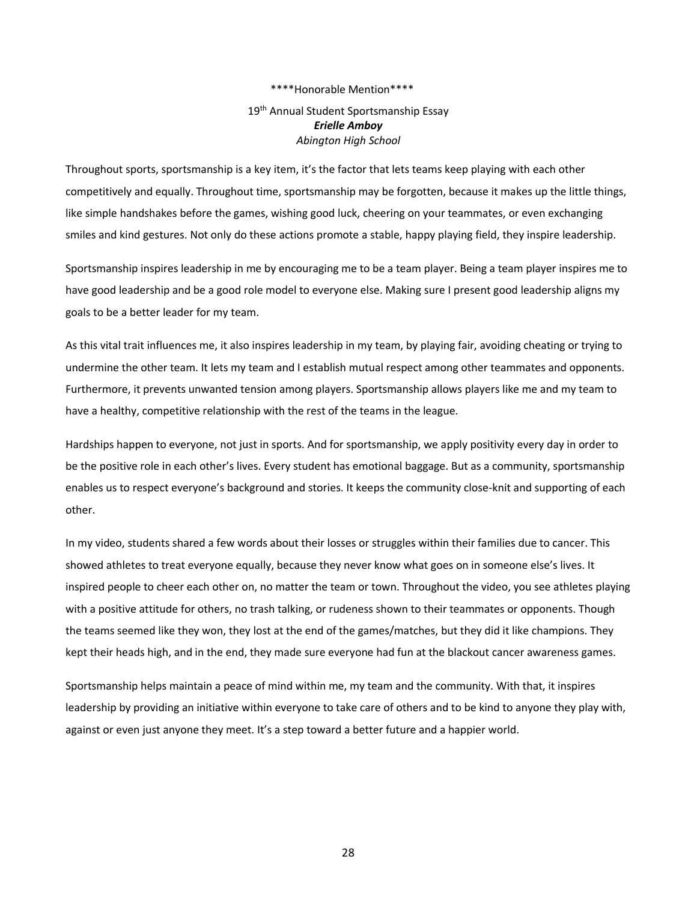## 19<sup>th</sup> Annual Student Sportsmanship Essay *Erielle Amboy Abington High School*

Throughout sports, sportsmanship is a key item, it's the factor that lets teams keep playing with each other competitively and equally. Throughout time, sportsmanship may be forgotten, because it makes up the little things, like simple handshakes before the games, wishing good luck, cheering on your teammates, or even exchanging smiles and kind gestures. Not only do these actions promote a stable, happy playing field, they inspire leadership. 

Sportsmanship inspires leadership in me by encouraging me to be a team player. Being a team player inspires me to have good leadership and be a good role model to everyone else. Making sure I present good leadership aligns my goals to be a better leader for my team. 

As this vital trait influences me, it also inspires leadership in my team, by playing fair, avoiding cheating or trying to undermine the other team. It lets my team and I establish mutual respect among other teammates and opponents. Furthermore, it prevents unwanted tension among players. Sportsmanship allows players like me and my team to have a healthy, competitive relationship with the rest of the teams in the league. 

Hardships happen to everyone, not just in sports. And for sportsmanship, we apply positivity every day in order to be the positive role in each other's lives. Every student has emotional baggage. But as a community, sportsmanship enables us to respect everyone's background and stories. It keeps the community close-knit and supporting of each other. 

In my video, students shared a few words about their losses or struggles within their families due to cancer. This showed athletes to treat everyone equally, because they never know what goes on in someone else's lives. It inspired people to cheer each other on, no matter the team or town. Throughout the video, you see athletes playing with a positive attitude for others, no trash talking, or rudeness shown to their teammates or opponents. Though the teams seemed like they won, they lost at the end of the games/matches, but they did it like champions. They kept their heads high, and in the end, they made sure everyone had fun at the blackout cancer awareness games.

Sportsmanship helps maintain a peace of mind within me, my team and the community. With that, it inspires leadership by providing an initiative within everyone to take care of others and to be kind to anyone they play with, against or even just anyone they meet. It's a step toward a better future and a happier world.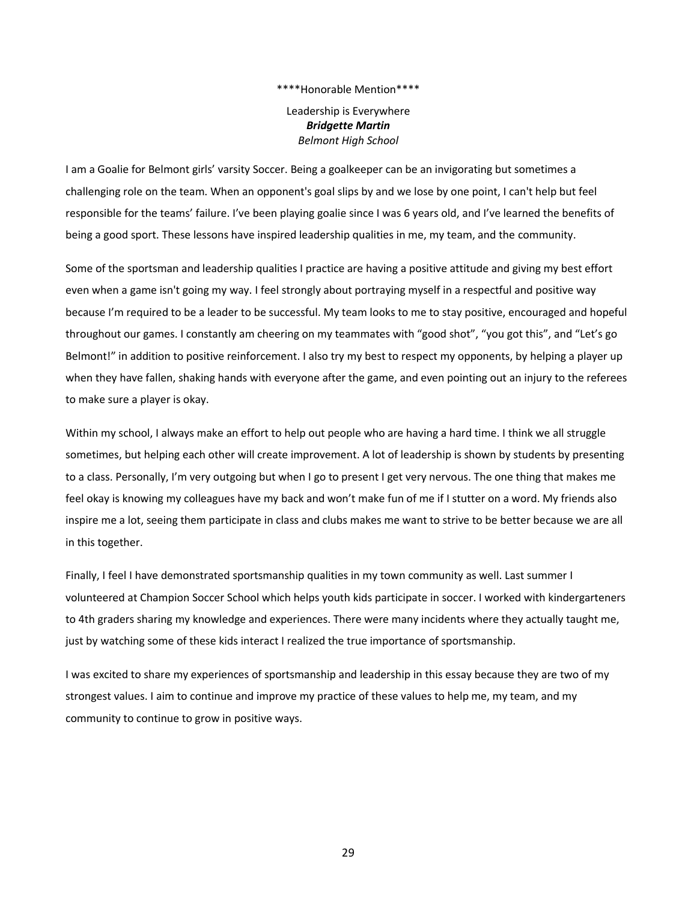Leadership is Everywhere *Bridgette Martin Belmont High School*

I am a Goalie for Belmont girls' varsity Soccer. Being a goalkeeper can be an invigorating but sometimes a challenging role on the team. When an opponent's goal slips by and we lose by one point, I can't help but feel responsible for the teams' failure. I've been playing goalie since I was 6 years old, and I've learned the benefits of being a good sport. These lessons have inspired leadership qualities in me, my team, and the community.

Some of the sportsman and leadership qualities I practice are having a positive attitude and giving my best effort even when a game isn't going my way. I feel strongly about portraying myself in a respectful and positive way because I'm required to be a leader to be successful. My team looks to me to stay positive, encouraged and hopeful throughout our games. I constantly am cheering on my teammates with "good shot", "you got this", and "Let's go Belmont!" in addition to positive reinforcement. I also try my best to respect my opponents, by helping a player up when they have fallen, shaking hands with everyone after the game, and even pointing out an injury to the referees to make sure a player is okay.

Within my school, I always make an effort to help out people who are having a hard time. I think we all struggle sometimes, but helping each other will create improvement. A lot of leadership is shown by students by presenting to a class. Personally, I'm very outgoing but when I go to present I get very nervous. The one thing that makes me feel okay is knowing my colleagues have my back and won't make fun of me if I stutter on a word. My friends also inspire me a lot, seeing them participate in class and clubs makes me want to strive to be better because we are all in this together.

Finally, I feel I have demonstrated sportsmanship qualities in my town community as well. Last summer I volunteered at Champion Soccer School which helps youth kids participate in soccer. I worked with kindergarteners to 4th graders sharing my knowledge and experiences. There were many incidents where they actually taught me, just by watching some of these kids interact I realized the true importance of sportsmanship.

I was excited to share my experiences of sportsmanship and leadership in this essay because they are two of my strongest values. I aim to continue and improve my practice of these values to help me, my team, and my community to continue to grow in positive ways.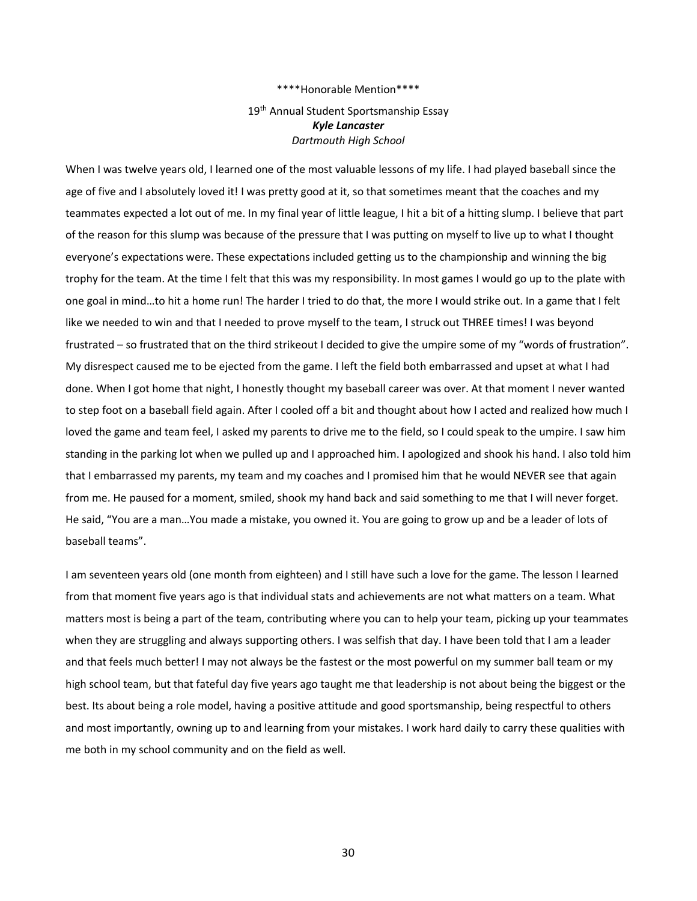## 19<sup>th</sup> Annual Student Sportsmanship Essay *Kyle Lancaster Dartmouth High School*

When I was twelve years old, I learned one of the most valuable lessons of my life. I had played baseball since the age of five and I absolutely loved it! I was pretty good at it, so that sometimes meant that the coaches and my teammates expected a lot out of me. In my final year of little league, I hit a bit of a hitting slump. I believe that part of the reason for this slump was because of the pressure that I was putting on myself to live up to what I thought everyone's expectations were. These expectations included getting us to the championship and winning the big trophy for the team. At the time I felt that this was my responsibility. In most games I would go up to the plate with one goal in mind…to hit a home run! The harder I tried to do that, the more I would strike out. In a game that I felt like we needed to win and that I needed to prove myself to the team, I struck out THREE times! I was beyond frustrated – so frustrated that on the third strikeout I decided to give the umpire some of my "words of frustration". My disrespect caused me to be ejected from the game. I left the field both embarrassed and upset at what I had done. When I got home that night, I honestly thought my baseball career was over. At that moment I never wanted to step foot on a baseball field again. After I cooled off a bit and thought about how I acted and realized how much I loved the game and team feel, I asked my parents to drive me to the field, so I could speak to the umpire. I saw him standing in the parking lot when we pulled up and I approached him. I apologized and shook his hand. I also told him that I embarrassed my parents, my team and my coaches and I promised him that he would NEVER see that again from me. He paused for a moment, smiled, shook my hand back and said something to me that I will never forget. He said, "You are a man…You made a mistake, you owned it. You are going to grow up and be a leader of lots of baseball teams".

I am seventeen years old (one month from eighteen) and I still have such a love for the game. The lesson I learned from that moment five years ago is that individual stats and achievements are not what matters on a team. What matters most is being a part of the team, contributing where you can to help your team, picking up your teammates when they are struggling and always supporting others. I was selfish that day. I have been told that I am a leader and that feels much better! I may not always be the fastest or the most powerful on my summer ball team or my high school team, but that fateful day five years ago taught me that leadership is not about being the biggest or the best. Its about being a role model, having a positive attitude and good sportsmanship, being respectful to others and most importantly, owning up to and learning from your mistakes. I work hard daily to carry these qualities with me both in my school community and on the field as well.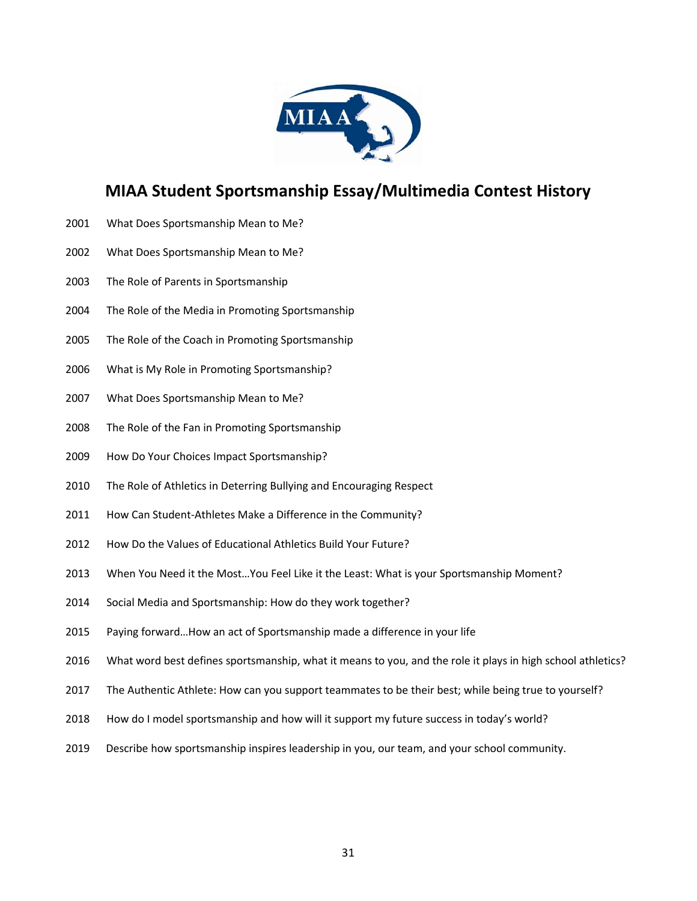

## **MIAA Student Sportsmanship Essay/Multimedia Contest History**

- What Does Sportsmanship Mean to Me?
- What Does Sportsmanship Mean to Me?
- The Role of Parents in Sportsmanship
- The Role of the Media in Promoting Sportsmanship
- The Role of the Coach in Promoting Sportsmanship
- What is My Role in Promoting Sportsmanship?
- What Does Sportsmanship Mean to Me?
- The Role of the Fan in Promoting Sportsmanship
- How Do Your Choices Impact Sportsmanship?
- The Role of Athletics in Deterring Bullying and Encouraging Respect
- 2011 How Can Student-Athletes Make a Difference in the Community?
- How Do the Values of Educational Athletics Build Your Future?
- When You Need it the Most…You Feel Like it the Least: What is your Sportsmanship Moment?
- Social Media and Sportsmanship: How do they work together?
- Paying forward…How an act of Sportsmanship made a difference in your life
- What word best defines sportsmanship, what it means to you, and the role it plays in high school athletics?
- The Authentic Athlete: How can you support teammates to be their best; while being true to yourself?
- How do I model sportsmanship and how will it support my future success in today's world?
- 2019 Describe how sportsmanship inspires leadership in you, our team, and your school community.